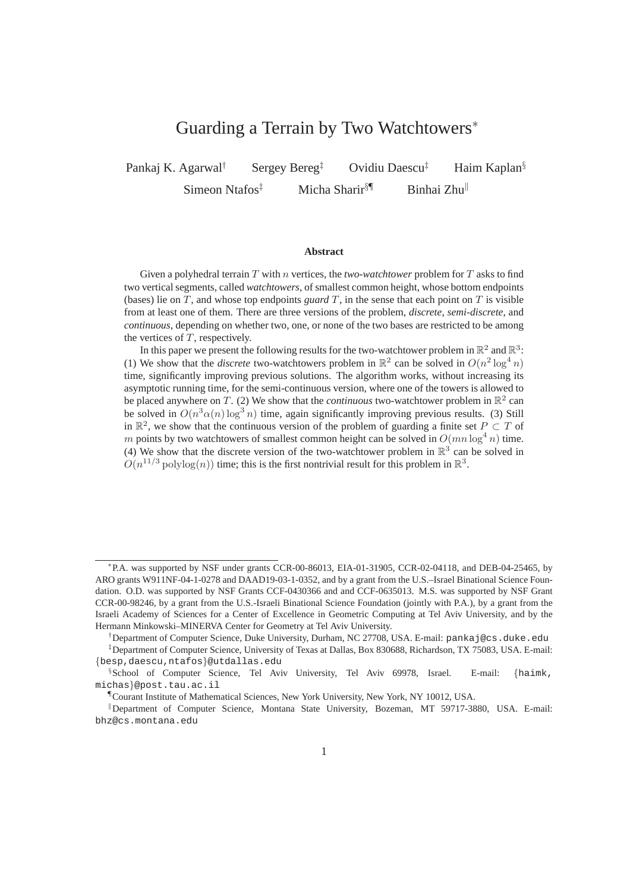## Guarding a Terrain by Two Watchtowers<sup>∗</sup>

Pankaj K. Agarwal<sup>†</sup> Sergey Bereg<sup>‡</sup> Ovidiu Daescu<sup>‡</sup> Haim Kaplan<sup>§</sup> Simeon Ntafos<sup> $\ddagger$ </sup> Micha Sharir<sup>§¶</sup> Binhai Zhu<sup>||</sup>

#### **Abstract**

Given a polyhedral terrain T with n vertices, the *two-watchtower* problem for T asks to find two vertical segments, called *watchtowers*, of smallest common height, whose bottom endpoints (bases) lie on T, and whose top endpoints *guard* T, in the sense that each point on T is visible from at least one of them. There are three versions of the problem, *discrete*, *semi-discrete*, and *continuous*, depending on whether two, one, or none of the two bases are restricted to be among the vertices of  $T$ , respectively.

In this paper we present the following results for the two-watchtower problem in  $\mathbb{R}^2$  and  $\mathbb{R}^3$ : (1) We show that the *discrete* two-watchtowers problem in  $\mathbb{R}^2$  can be solved in  $O(n^2 \log^4 n)$ time, significantly improving previous solutions. The algorithm works, without increasing its asymptotic running time, for the semi-continuous version, where one of the towers is allowed to be placed anywhere on T. (2) We show that the *continuous* two-watchtower problem in  $\mathbb{R}^2$  can be solved in  $O(n^3 \alpha(n) \log^3 n)$  time, again significantly improving previous results. (3) Still in  $\mathbb{R}^2$ , we show that the continuous version of the problem of guarding a finite set  $P \subset T$  of m points by two watchtowers of smallest common height can be solved in  $O(mn \log^4 n)$  time. (4) We show that the discrete version of the two-watchtower problem in  $\mathbb{R}^3$  can be solved in  $O(n^{11/3} \text{polylog}(n))$  time; this is the first nontrivial result for this problem in  $\mathbb{R}^3$ .

<sup>∗</sup> P.A. was supported by NSF under grants CCR-00-86013, EIA-01-31905, CCR-02-04118, and DEB-04-25465, by ARO grants W911NF-04-1-0278 and DAAD19-03-1-0352, and by a grant from the U.S.–Israel Binational Science Foundation. O.D. was supported by NSF Grants CCF-0430366 and and CCF-0635013. M.S. was supported by NSF Grant CCR-00-98246, by a grant from the U.S.-Israeli Binational Science Foundation (jointly with P.A.), by a grant from the Israeli Academy of Sciences for a Center of Excellence in Geometric Computing at Tel Aviv University, and by the Hermann Minkowski–MINERVA Center for Geometry at Tel Aviv University.

<sup>†</sup>Department of Computer Science, Duke University, Durham, NC 27708, USA. E-mail: pankaj@cs.duke.edu ‡Department of Computer Science, University of Texas at Dallas, Box 830688, Richardson, TX 75083, USA. E-mail: {besp,daescu,ntafos}@utdallas.edu

<sup>§</sup> School of Computer Science, Tel Aviv University, Tel Aviv 69978, Israel. E-mail: {haimk, michas}@post.tau.ac.il

<sup>¶</sup>Courant Institute of Mathematical Sciences, New York University, New York, NY 10012, USA.

<sup>&</sup>lt;sup>II</sup> Department of Computer Science, Montana State University, Bozeman, MT 59717-3880, USA. E-mail: bhz@cs.montana.edu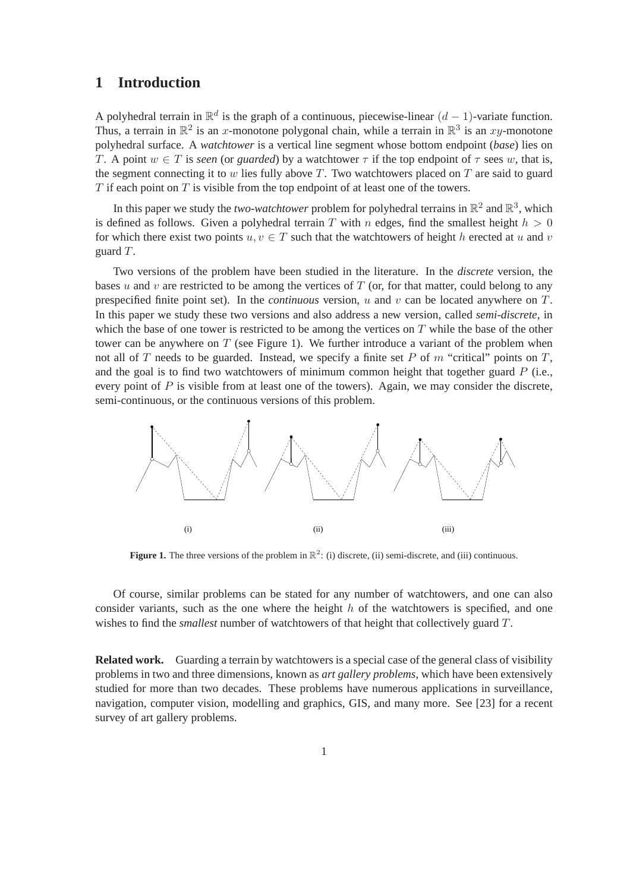## **1 Introduction**

A polyhedral terrain in  $\mathbb{R}^d$  is the graph of a continuous, piecewise-linear  $(d-1)$ -variate function. Thus, a terrain in  $\mathbb{R}^2$  is an x-monotone polygonal chain, while a terrain in  $\mathbb{R}^3$  is an xy-monotone polyhedral surface. A *watchtower* is a vertical line segment whose bottom endpoint (*base*) lies on T. A point  $w \in T$  is *seen* (or *guarded*) by a watchtower  $\tau$  if the top endpoint of  $\tau$  sees w, that is, the segment connecting it to  $w$  lies fully above  $T$ . Two watchtowers placed on  $T$  are said to guard  $T$  if each point on  $T$  is visible from the top endpoint of at least one of the towers.

In this paper we study the *two-watchtower* problem for polyhedral terrains in  $\mathbb{R}^2$  and  $\mathbb{R}^3$ , which is defined as follows. Given a polyhedral terrain T with n edges, find the smallest height  $h > 0$ for which there exist two points  $u, v \in T$  such that the watchtowers of height h erected at u and v guard T.

Two versions of the problem have been studied in the literature. In the *discrete* version, the bases u and v are restricted to be among the vertices of  $T$  (or, for that matter, could belong to any prespecified finite point set). In the *continuous* version, u and v can be located anywhere on T. In this paper we study these two versions and also address a new version, called *semi-discrete*, in which the base of one tower is restricted to be among the vertices on  $T$  while the base of the other tower can be anywhere on  $T$  (see Figure 1). We further introduce a variant of the problem when not all of T needs to be guarded. Instead, we specify a finite set P of  $m$  "critical" points on  $T$ , and the goal is to find two watchtowers of minimum common height that together guard  $P$  (i.e., every point of  $P$  is visible from at least one of the towers). Again, we may consider the discrete, semi-continuous, or the continuous versions of this problem.



**Figure 1.** The three versions of the problem in  $\mathbb{R}^2$ : (i) discrete, (ii) semi-discrete, and (iii) continuous.

Of course, similar problems can be stated for any number of watchtowers, and one can also consider variants, such as the one where the height  $h$  of the watchtowers is specified, and one wishes to find the *smallest* number of watchtowers of that height that collectively guard T.

**Related work.** Guarding a terrain by watchtowers is a special case of the general class of visibility problems in two and three dimensions, known as *art gallery problems*, which have been extensively studied for more than two decades. These problems have numerous applications in surveillance, navigation, computer vision, modelling and graphics, GIS, and many more. See [23] for a recent survey of art gallery problems.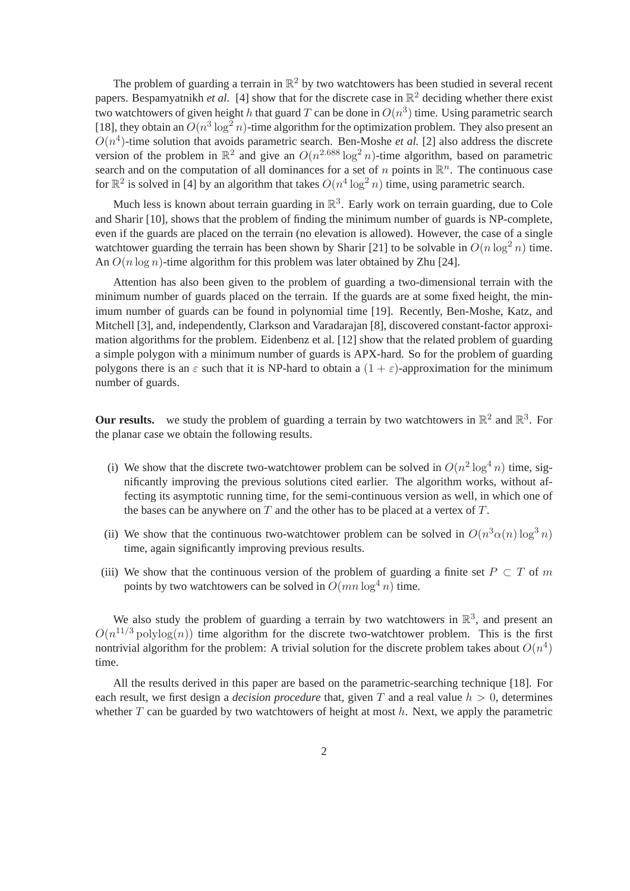The problem of guarding a terrain in  $\mathbb{R}^2$  by two watchtowers has been studied in several recent papers. Bespamyatnikh *et al.* [4] show that for the discrete case in  $\mathbb{R}^2$  deciding whether there exist two watchtowers of given height h that guard T can be done in  $O(n^3)$  time. Using parametric search [18], they obtain an  $O(n^3 \log^2 n)$ -time algorithm for the optimization problem. They also present an  $O(n<sup>4</sup>)$ -time solution that avoids parametric search. Ben-Moshe *et al.* [2] also address the discrete version of the problem in  $\mathbb{R}^2$  and give an  $O(n^{2.688} \log^2 n)$ -time algorithm, based on parametric search and on the computation of all dominances for a set of n points in  $\mathbb{R}^n$ . The continuous case for  $\mathbb{R}^2$  is solved in [4] by an algorithm that takes  $O(n^4 \log^2 n)$  time, using parametric search.

Much less is known about terrain guarding in  $\mathbb{R}^3$ . Early work on terrain guarding, due to Cole and Sharir [10], shows that the problem of finding the minimum number of guards is NP-complete, even if the guards are placed on the terrain (no elevation is allowed). However, the case of a single watchtower guarding the terrain has been shown by Sharir [21] to be solvable in  $O(n \log^2 n)$  time. An  $O(n \log n)$ -time algorithm for this problem was later obtained by Zhu [24].

Attention has also been given to the problem of guarding a two-dimensional terrain with the minimum number of guards placed on the terrain. If the guards are at some fixed height, the minimum number of guards can be found in polynomial time [19]. Recently, Ben-Moshe, Katz, and Mitchell [3], and, independently, Clarkson and Varadarajan [8], discovered constant-factor approximation algorithms for the problem. Eidenbenz et al. [12] show that the related problem of guarding a simple polygon with a minimum number of guards is APX-hard. So for the problem of guarding polygons there is an  $\varepsilon$  such that it is NP-hard to obtain a  $(1 + \varepsilon)$ -approximation for the minimum number of guards.

**Our results.** we study the problem of guarding a terrain by two watchtowers in  $\mathbb{R}^2$  and  $\mathbb{R}^3$ . For the planar case we obtain the following results.

- (i) We show that the discrete two-watchtower problem can be solved in  $O(n^2 \log^4 n)$  time, significantly improving the previous solutions cited earlier. The algorithm works, without affecting its asymptotic running time, for the semi-continuous version as well, in which one of the bases can be anywhere on  $T$  and the other has to be placed at a vertex of  $T$ .
- (ii) We show that the continuous two-watchtower problem can be solved in  $O(n^3\alpha(n)\log^3 n)$ time, again significantly improving previous results.
- (iii) We show that the continuous version of the problem of guarding a finite set  $P \subset T$  of m points by two watchtowers can be solved in  $O(mn \log^4 n)$  time.

We also study the problem of guarding a terrain by two watchtowers in  $\mathbb{R}^3$ , and present an  $O(n^{11/3} \text{polylog}(n))$  time algorithm for the discrete two-watchtower problem. This is the first nontrivial algorithm for the problem: A trivial solution for the discrete problem takes about  $O(n^4)$ time.

All the results derived in this paper are based on the parametric-searching technique [18]. For each result, we first design a *decision procedure* that, given T and a real value  $h > 0$ , determines whether  $T$  can be guarded by two watchtowers of height at most  $h$ . Next, we apply the parametric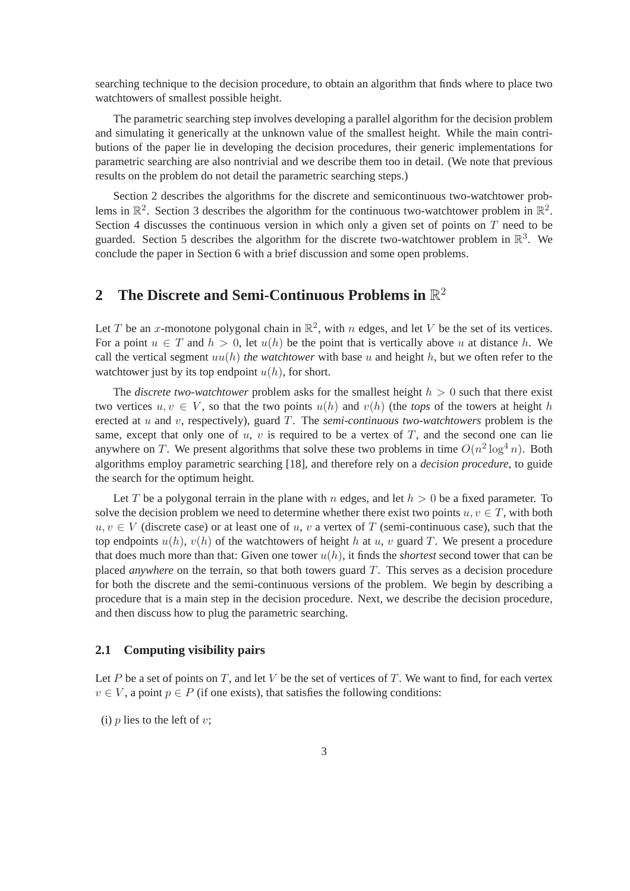searching technique to the decision procedure, to obtain an algorithm that finds where to place two watchtowers of smallest possible height.

The parametric searching step involves developing a parallel algorithm for the decision problem and simulating it generically at the unknown value of the smallest height. While the main contributions of the paper lie in developing the decision procedures, their generic implementations for parametric searching are also nontrivial and we describe them too in detail. (We note that previous results on the problem do not detail the parametric searching steps.)

Section 2 describes the algorithms for the discrete and semicontinuous two-watchtower problems in  $\mathbb{R}^2$ . Section 3 describes the algorithm for the continuous two-watchtower problem in  $\mathbb{R}^2$ . Section 4 discusses the continuous version in which only a given set of points on  $T$  need to be guarded. Section 5 describes the algorithm for the discrete two-watchtower problem in  $\mathbb{R}^3$ . We conclude the paper in Section 6 with a brief discussion and some open problems.

# **2 The Discrete and Semi-Continuous Problems in** R 2

Let T be an x-monotone polygonal chain in  $\mathbb{R}^2$ , with n edges, and let V be the set of its vertices. For a point  $u \in T$  and  $h > 0$ , let  $u(h)$  be the point that is vertically above u at distance h. We call the vertical segment  $uu(h)$  *the watchtower* with base u and height h, but we often refer to the watchtower just by its top endpoint  $u(h)$ , for short.

The *discrete two-watchtower* problem asks for the smallest height  $h > 0$  such that there exist two vertices  $u, v \in V$ , so that the two points  $u(h)$  and  $v(h)$  (the *tops* of the towers at height h erected at u and v, respectively), guard T. The *semi-continuous two-watchtowers* problem is the same, except that only one of u, v is required to be a vertex of  $T$ , and the second one can lie anywhere on T. We present algorithms that solve these two problems in time  $O(n^2 \log^4 n)$ . Both algorithms employ parametric searching [18], and therefore rely on a *decision procedure*, to guide the search for the optimum height.

Let T be a polygonal terrain in the plane with n edges, and let  $h > 0$  be a fixed parameter. To solve the decision problem we need to determine whether there exist two points  $u, v \in T$ , with both  $u, v \in V$  (discrete case) or at least one of u, v a vertex of T (semi-continuous case), such that the top endpoints  $u(h)$ ,  $v(h)$  of the watchtowers of height h at u, v guard T. We present a procedure that does much more than that: Given one tower  $u(h)$ , it finds the *shortest* second tower that can be placed *anywhere* on the terrain, so that both towers guard T. This serves as a decision procedure for both the discrete and the semi-continuous versions of the problem. We begin by describing a procedure that is a main step in the decision procedure. Next, we describe the decision procedure, and then discuss how to plug the parametric searching.

#### **2.1 Computing visibility pairs**

Let P be a set of points on T, and let V be the set of vertices of T. We want to find, for each vertex  $v \in V$ , a point  $p \in P$  (if one exists), that satisfies the following conditions:

(i)  $p$  lies to the left of  $v$ ;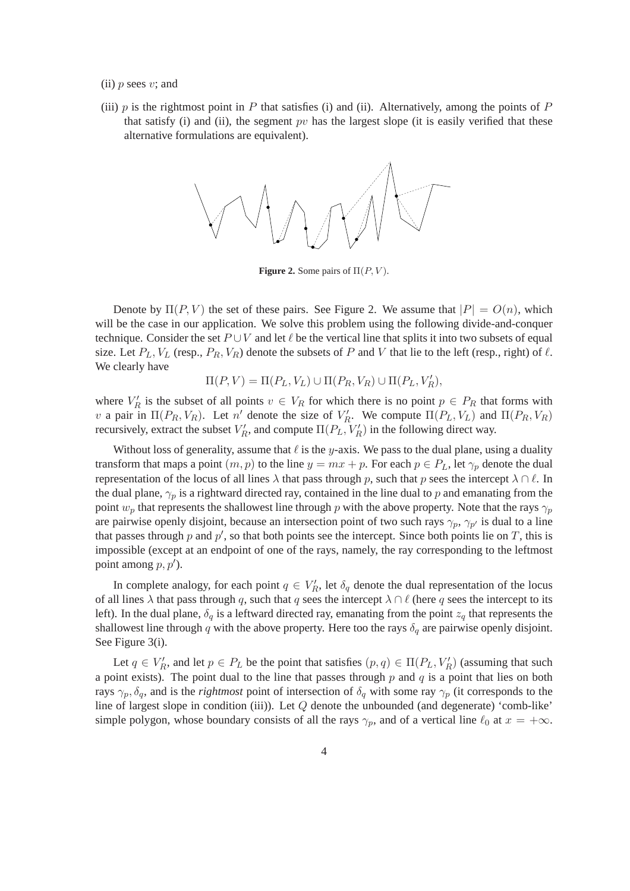- (ii)  $p$  sees  $v$ ; and
- (iii)  $p$  is the rightmost point in  $P$  that satisfies (i) and (ii). Alternatively, among the points of  $P$ that satisfy (i) and (ii), the segment  $pv$  has the largest slope (it is easily verified that these alternative formulations are equivalent).



**Figure 2.** Some pairs of  $\Pi(P, V)$ .

Denote by  $\Pi(P, V)$  the set of these pairs. See Figure 2. We assume that  $|P| = O(n)$ , which will be the case in our application. We solve this problem using the following divide-and-conquer technique. Consider the set  $P \cup V$  and let  $\ell$  be the vertical line that splits it into two subsets of equal size. Let  $P_L$ ,  $V_L$  (resp.,  $P_R$ ,  $V_R$ ) denote the subsets of P and V that lie to the left (resp., right) of  $\ell$ . We clearly have

 $\Pi(P, V) = \Pi(P_L, V_L) \cup \Pi(P_R, V_R) \cup \Pi(P_L, V_R'),$ 

where  $V'_R$  is the subset of all points  $v \in V_R$  for which there is no point  $p \in P_R$  that forms with v a pair in  $\Pi(P_R, V_R)$ . Let n' denote the size of  $V'_R$ . We compute  $\Pi(P_L, V_L)$  and  $\Pi(P_R, V_R)$ recursively, extract the subset  $V'_R$ , and compute  $\Pi(P_L, V'_R)$  in the following direct way.

Without loss of generality, assume that  $\ell$  is the y-axis. We pass to the dual plane, using a duality transform that maps a point  $(m, p)$  to the line  $y = mx + p$ . For each  $p \in P_L$ , let  $\gamma_p$  denote the dual representation of the locus of all lines  $\lambda$  that pass through p, such that p sees the intercept  $\lambda \cap \ell$ . In the dual plane,  $\gamma_p$  is a rightward directed ray, contained in the line dual to p and emanating from the point  $w_p$  that represents the shallowest line through p with the above property. Note that the rays  $\gamma_p$ are pairwise openly disjoint, because an intersection point of two such rays  $\gamma_p$ ,  $\gamma_{p'}$  is dual to a line that passes through p and  $p'$ , so that both points see the intercept. Since both points lie on T, this is impossible (except at an endpoint of one of the rays, namely, the ray corresponding to the leftmost point among  $p, p'$ ).

In complete analogy, for each point  $q \in V_R'$ , let  $\delta_q$  denote the dual representation of the locus of all lines  $\lambda$  that pass through q, such that q sees the intercept  $\lambda \cap \ell$  (here q sees the intercept to its left). In the dual plane,  $\delta_q$  is a leftward directed ray, emanating from the point  $z_q$  that represents the shallowest line through q with the above property. Here too the rays  $\delta_q$  are pairwise openly disjoint. See Figure 3(i).

Let  $q \in V_R'$ , and let  $p \in P_L$  be the point that satisfies  $(p, q) \in \Pi(P_L, V_R')$  (assuming that such a point exists). The point dual to the line that passes through  $p$  and  $q$  is a point that lies on both rays  $\gamma_p, \delta_q$ , and is the *rightmost* point of intersection of  $\delta_q$  with some ray  $\gamma_p$  (it corresponds to the line of largest slope in condition (iii)). Let Q denote the unbounded (and degenerate) 'comb-like' simple polygon, whose boundary consists of all the rays  $\gamma_p$ , and of a vertical line  $\ell_0$  at  $x = +\infty$ .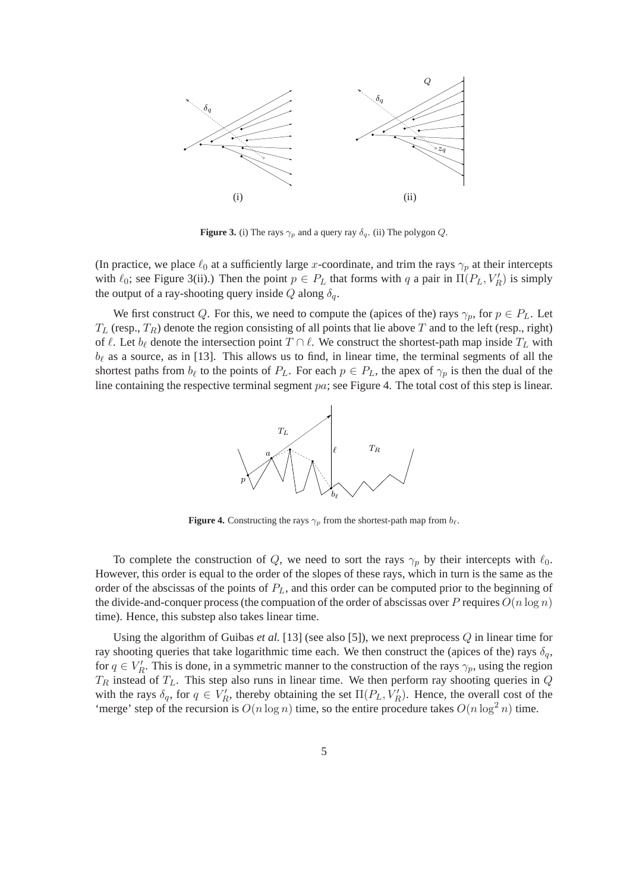

**Figure 3.** (i) The rays  $\gamma_p$  and a query ray  $\delta_q$ . (ii) The polygon Q.

(In practice, we place  $\ell_0$  at a sufficiently large x-coordinate, and trim the rays  $\gamma_p$  at their intercepts with  $\ell_0$ ; see Figure 3(ii).) Then the point  $p \in P_L$  that forms with q a pair in  $\Pi(P_L, V_R')$  is simply the output of a ray-shooting query inside Q along  $\delta_q$ .

We first construct Q. For this, we need to compute the (apices of the) rays  $\gamma_p$ , for  $p \in P_L$ . Let  $T_L$  (resp.,  $T_R$ ) denote the region consisting of all points that lie above T and to the left (resp., right) of  $\ell$ . Let  $b_{\ell}$  denote the intersection point  $T \cap \ell$ . We construct the shortest-path map inside  $T_L$  with  $b_{\ell}$  as a source, as in [13]. This allows us to find, in linear time, the terminal segments of all the shortest paths from  $b_{\ell}$  to the points of  $P_L$ . For each  $p \in P_L$ , the apex of  $\gamma_p$  is then the dual of the line containing the respective terminal segment pa; see Figure 4. The total cost of this step is linear.



**Figure 4.** Constructing the rays  $\gamma_p$  from the shortest-path map from  $b_\ell$ .

To complete the construction of Q, we need to sort the rays  $\gamma_p$  by their intercepts with  $\ell_0$ . However, this order is equal to the order of the slopes of these rays, which in turn is the same as the order of the abscissas of the points of  $P_L$ , and this order can be computed prior to the beginning of the divide-and-conquer process (the computaion of the order of abscissas over P requires  $O(n \log n)$ time). Hence, this substep also takes linear time.

Using the algorithm of Guibas *et al.* [13] (see also [5]), we next preprocess  $Q$  in linear time for ray shooting queries that take logarithmic time each. We then construct the (apices of the) rays  $\delta_q$ , for  $q \in V'_R$ . This is done, in a symmetric manner to the construction of the rays  $\gamma_p$ , using the region  $T_R$  instead of  $T_L$ . This step also runs in linear time. We then perform ray shooting queries in  $Q$ with the rays  $\delta_q$ , for  $q \in V_R'$ , thereby obtaining the set  $\Pi(P_L, V_R')$ . Hence, the overall cost of the 'merge' step of the recursion is  $O(n \log n)$  time, so the entire procedure takes  $O(n \log^2 n)$  time.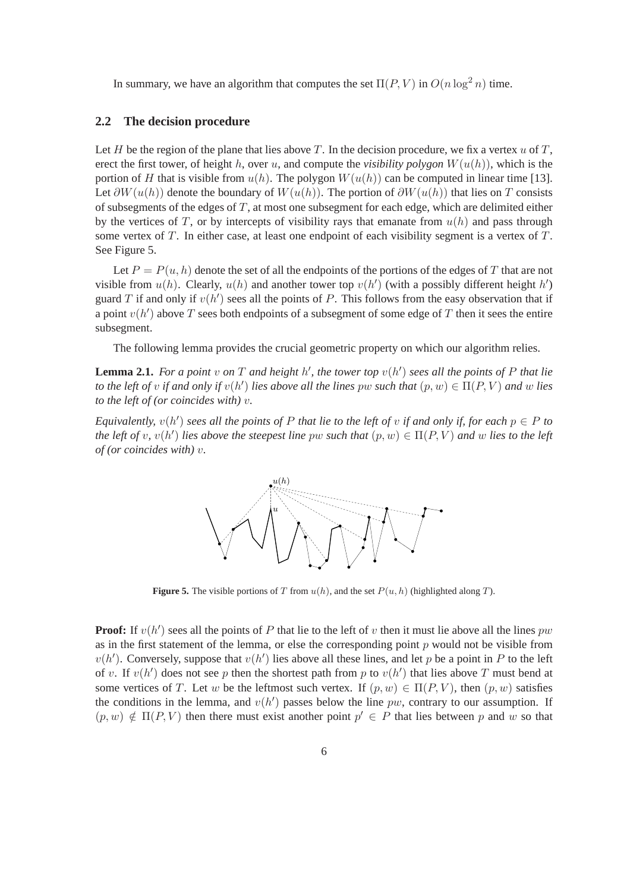In summary, we have an algorithm that computes the set  $\Pi(P, V)$  in  $O(n \log^2 n)$  time.

### **2.2 The decision procedure**

Let  $H$  be the region of the plane that lies above  $T$ . In the decision procedure, we fix a vertex  $u$  of  $T$ , erect the first tower, of height h, over u, and compute the *visibility polygon*  $W(u(h))$ , which is the portion of H that is visible from  $u(h)$ . The polygon  $W(u(h))$  can be computed in linear time [13]. Let  $\partial W(u(h))$  denote the boundary of  $W(u(h))$ . The portion of  $\partial W(u(h))$  that lies on T consists of subsegments of the edges of  $T$ , at most one subsegment for each edge, which are delimited either by the vertices of T, or by intercepts of visibility rays that emanate from  $u(h)$  and pass through some vertex of T. In either case, at least one endpoint of each visibility segment is a vertex of T. See Figure 5.

Let  $P = P(u, h)$  denote the set of all the endpoints of the portions of the edges of T that are not visible from  $u(h)$ . Clearly,  $u(h)$  and another tower top  $v(h')$  (with a possibly different height  $h'$ ) guard T if and only if  $v(h')$  sees all the points of P. This follows from the easy observation that if a point  $v(h')$  above T sees both endpoints of a subsegment of some edge of T then it sees the entire subsegment.

The following lemma provides the crucial geometric property on which our algorithm relies.

**Lemma 2.1.** *For a point* v on T and height h', the tower top  $v(h')$  sees all the points of P that lie *to the left of* v *if and only if*  $v(h')$  *lies above all the lines*  $pw$  *such that*  $(p, w) \in \Pi(P, V)$  *and* w *lies to the left of (or coincides with)* v*.*

*Equivalently,*  $v(h')$  *sees all the points of* P *that lie to the left of*  $v$  *if and only if, for each*  $p \in P$  *to the left of* v,  $v(h')$  *lies above the steepest line*  $pw$  *such that*  $(p, w) \in \Pi(P, V)$  *and* w *lies to the left of (or coincides with)* v*.*



**Figure 5.** The visible portions of T from  $u(h)$ , and the set  $P(u, h)$  (highlighted along T).

**Proof:** If  $v(h')$  sees all the points of P that lie to the left of v then it must lie above all the lines pw as in the first statement of the lemma, or else the corresponding point  $p$  would not be visible from  $v(h')$ . Conversely, suppose that  $v(h')$  lies above all these lines, and let p be a point in P to the left of v. If  $v(h')$  does not see p then the shortest path from p to  $v(h')$  that lies above T must bend at some vertices of T. Let w be the leftmost such vertex. If  $(p, w) \in \Pi(P, V)$ , then  $(p, w)$  satisfies the conditions in the lemma, and  $v(h')$  passes below the line pw, contrary to our assumption. If  $(p, w) \notin \Pi(P, V)$  then there must exist another point  $p' \in P$  that lies between p and w so that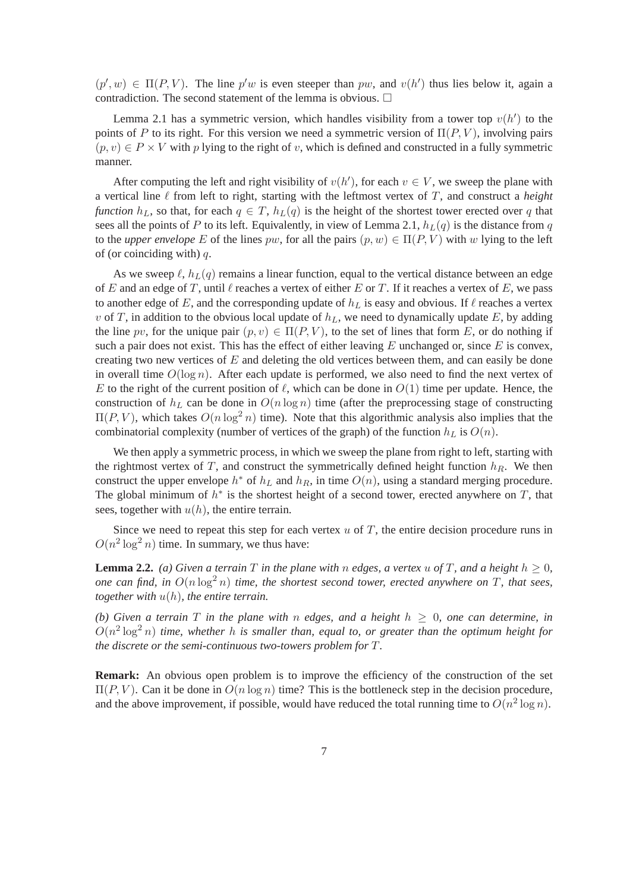$(p', w) \in \Pi(P, V)$ . The line  $p'w$  is even steeper than pw, and  $v(h')$  thus lies below it, again a contradiction. The second statement of the lemma is obvious.  $\Box$ 

Lemma 2.1 has a symmetric version, which handles visibility from a tower top  $v(h')$  to the points of P to its right. For this version we need a symmetric version of  $\Pi(P, V)$ , involving pairs  $(p, v) \in P \times V$  with p lying to the right of v, which is defined and constructed in a fully symmetric manner.

After computing the left and right visibility of  $v(h')$ , for each  $v \in V$ , we sweep the plane with a vertical line  $\ell$  from left to right, starting with the leftmost vertex of T, and construct a *height function*  $h_L$ , so that, for each  $q \in T$ ,  $h_L(q)$  is the height of the shortest tower erected over q that sees all the points of P to its left. Equivalently, in view of Lemma 2.1,  $h_L(q)$  is the distance from q to the *upper envelope* E of the lines  $pw$ , for all the pairs  $(p, w) \in \Pi(P, V)$  with w lying to the left of (or coinciding with)  $q$ .

As we sweep  $\ell$ ,  $h_L(q)$  remains a linear function, equal to the vertical distance between an edge of E and an edge of T, until  $\ell$  reaches a vertex of either E or T. If it reaches a vertex of E, we pass to another edge of E, and the corresponding update of  $h<sub>L</sub>$  is easy and obvious. If  $\ell$  reaches a vertex v of T, in addition to the obvious local update of  $h<sub>L</sub>$ , we need to dynamically update E, by adding the line pv, for the unique pair  $(p, v) \in \Pi(P, V)$ , to the set of lines that form E, or do nothing if such a pair does not exist. This has the effect of either leaving  $E$  unchanged or, since  $E$  is convex, creating two new vertices of  $E$  and deleting the old vertices between them, and can easily be done in overall time  $O(\log n)$ . After each update is performed, we also need to find the next vertex of E to the right of the current position of  $\ell$ , which can be done in  $O(1)$  time per update. Hence, the construction of  $h<sub>L</sub>$  can be done in  $O(n \log n)$  time (after the preprocessing stage of constructing  $\Pi(P, V)$ , which takes  $O(n \log^2 n)$  time). Note that this algorithmic analysis also implies that the combinatorial complexity (number of vertices of the graph) of the function  $h<sub>L</sub>$  is  $O(n)$ .

We then apply a symmetric process, in which we sweep the plane from right to left, starting with the rightmost vertex of T, and construct the symmetrically defined height function  $h<sub>R</sub>$ . We then construct the upper envelope  $h^*$  of  $h_L$  and  $h_R$ , in time  $O(n)$ , using a standard merging procedure. The global minimum of  $h^*$  is the shortest height of a second tower, erected anywhere on  $T$ , that sees, together with  $u(h)$ , the entire terrain.

Since we need to repeat this step for each vertex  $u$  of  $T$ , the entire decision procedure runs in  $O(n^2 \log^2 n)$  time. In summary, we thus have:

**Lemma 2.2.** *(a)* Given a terrain T in the plane with n edges, a vertex u of T, and a height  $h \geq 0$ , *one can find, in*  $O(n \log^2 n)$  *time, the shortest second tower, erected anywhere on* T, *that sees, together with* u(h)*, the entire terrain.*

*(b)* Given a terrain T in the plane with n edges, and a height  $h \geq 0$ , one can determine, in  $O(n^2 \log^2 n)$  *time, whether* h *is smaller than, equal to, or greater than the optimum height for the discrete or the semi-continuous two-towers problem for* T*.*

**Remark:** An obvious open problem is to improve the efficiency of the construction of the set  $\Pi(P, V)$ . Can it be done in  $O(n \log n)$  time? This is the bottleneck step in the decision procedure, and the above improvement, if possible, would have reduced the total running time to  $O(n^2 \log n)$ .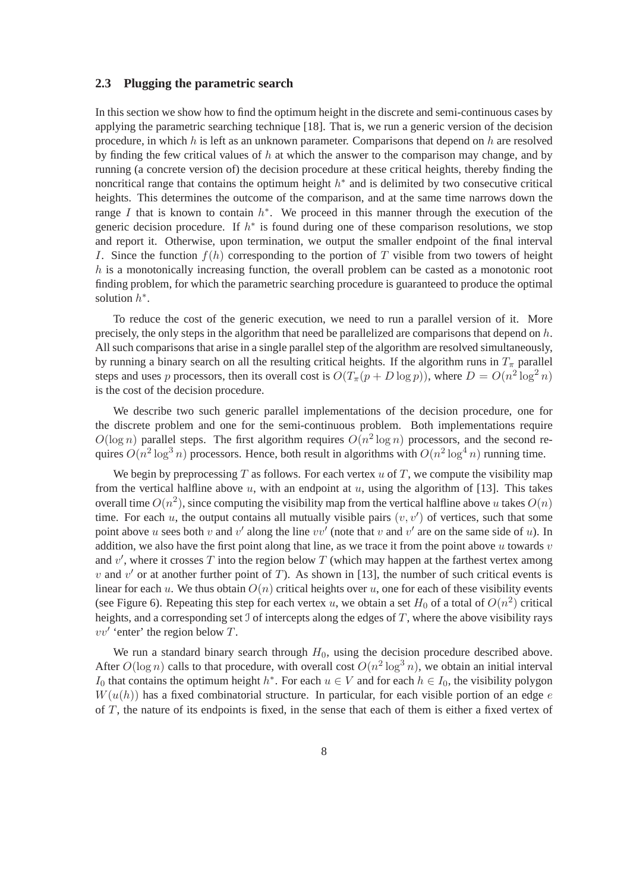#### **2.3 Plugging the parametric search**

In this section we show how to find the optimum height in the discrete and semi-continuous cases by applying the parametric searching technique [18]. That is, we run a generic version of the decision procedure, in which h is left as an unknown parameter. Comparisons that depend on h are resolved by finding the few critical values of  $h$  at which the answer to the comparison may change, and by running (a concrete version of) the decision procedure at these critical heights, thereby finding the noncritical range that contains the optimum height  $h^*$  and is delimited by two consecutive critical heights. This determines the outcome of the comparison, and at the same time narrows down the range I that is known to contain  $h^*$ . We proceed in this manner through the execution of the generic decision procedure. If  $h^*$  is found during one of these comparison resolutions, we stop and report it. Otherwise, upon termination, we output the smaller endpoint of the final interval I. Since the function  $f(h)$  corresponding to the portion of T visible from two towers of height h is a monotonically increasing function, the overall problem can be casted as a monotonic root finding problem, for which the parametric searching procedure is guaranteed to produce the optimal solution  $h^*$ .

To reduce the cost of the generic execution, we need to run a parallel version of it. More precisely, the only steps in the algorithm that need be parallelized are comparisons that depend on  $h$ . All such comparisons that arise in a single parallel step of the algorithm are resolved simultaneously, by running a binary search on all the resulting critical heights. If the algorithm runs in  $T_{\pi}$  parallel steps and uses p processors, then its overall cost is  $O(T_{\pi}(p+D\log p))$ , where  $D = O(n^2\log^2 n)$ is the cost of the decision procedure.

We describe two such generic parallel implementations of the decision procedure, one for the discrete problem and one for the semi-continuous problem. Both implementations require  $O(\log n)$  parallel steps. The first algorithm requires  $O(n^2 \log n)$  processors, and the second requires  $O(n^2 \log^3 n)$  processors. Hence, both result in algorithms with  $O(n^2 \log^4 n)$  running time.

We begin by preprocessing  $T$  as follows. For each vertex  $u$  of  $T$ , we compute the visibility map from the vertical halfline above  $u$ , with an endpoint at  $u$ , using the algorithm of [13]. This takes overall time  $O(n^2)$ , since computing the visibility map from the vertical halfline above u takes  $O(n)$ time. For each  $u$ , the output contains all mutually visible pairs  $(v, v')$  of vertices, such that some point above u sees both v and v' along the line vv' (note that v and v' are on the same side of u). In addition, we also have the first point along that line, as we trace it from the point above  $u$  towards  $v$ and  $v'$ , where it crosses T into the region below T (which may happen at the farthest vertex among v and  $v'$  or at another further point of T). As shown in [13], the number of such critical events is linear for each u. We thus obtain  $O(n)$  critical heights over u, one for each of these visibility events (see Figure 6). Repeating this step for each vertex u, we obtain a set  $H_0$  of a total of  $O(n^2)$  critical heights, and a corresponding set  $\mathcal I$  of intercepts along the edges of  $T$ , where the above visibility rays  $vv'$  'enter' the region below  $T$ .

We run a standard binary search through  $H_0$ , using the decision procedure described above. After  $O(\log n)$  calls to that procedure, with overall cost  $O(n^2 \log^3 n)$ , we obtain an initial interval I<sub>0</sub> that contains the optimum height  $h^*$ . For each  $u \in V$  and for each  $h \in I_0$ , the visibility polygon  $W(u(h))$  has a fixed combinatorial structure. In particular, for each visible portion of an edge e of  $T$ , the nature of its endpoints is fixed, in the sense that each of them is either a fixed vertex of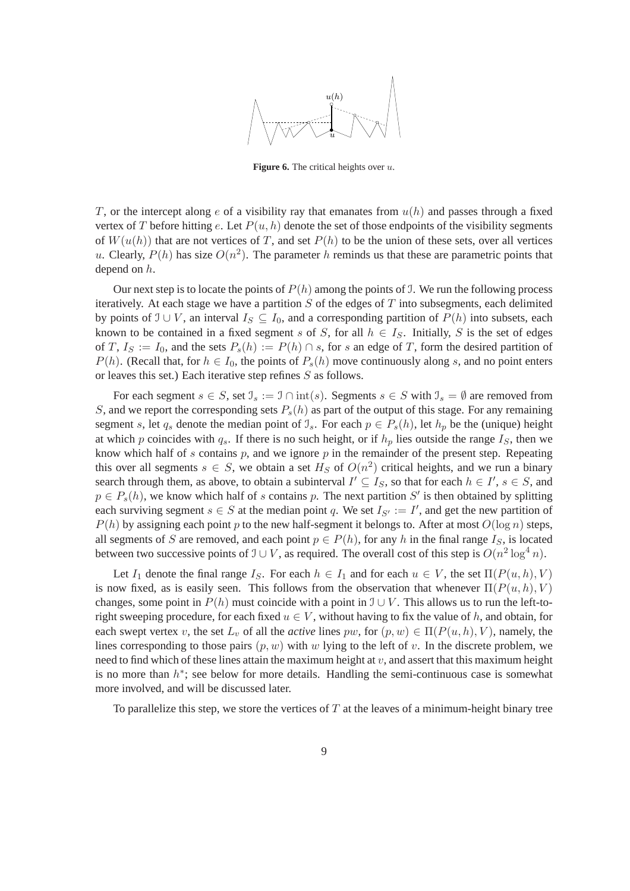

**Figure 6.** The critical heights over u.

T, or the intercept along e of a visibility ray that emanates from  $u(h)$  and passes through a fixed vertex of T before hitting e. Let  $P(u, h)$  denote the set of those endpoints of the visibility segments of  $W(u(h))$  that are not vertices of T, and set  $P(h)$  to be the union of these sets, over all vertices u. Clearly,  $P(h)$  has size  $O(n^2)$ . The parameter h reminds us that these are parametric points that depend on h.

Our next step is to locate the points of  $P(h)$  among the points of J. We run the following process iteratively. At each stage we have a partition  $S$  of the edges of  $T$  into subsegments, each delimited by points of  $\mathcal{I} \cup V$ , an interval  $I_S \subseteq I_0$ , and a corresponding partition of  $P(h)$  into subsets, each known to be contained in a fixed segment s of S, for all  $h \in I_S$ . Initially, S is the set of edges of T,  $I_s := I_0$ , and the sets  $P_s(h) := P(h) \cap s$ , for s an edge of T, form the desired partition of  $P(h)$ . (Recall that, for  $h \in I_0$ , the points of  $P_s(h)$  move continuously along s, and no point enters or leaves this set.) Each iterative step refines S as follows.

For each segment  $s \in S$ , set  $\mathcal{I}_s := \mathcal{I} \cap \text{int}(s)$ . Segments  $s \in S$  with  $\mathcal{I}_s = \emptyset$  are removed from S, and we report the corresponding sets  $P_s(h)$  as part of the output of this stage. For any remaining segment s, let  $q_s$  denote the median point of  $\mathcal{I}_s$ . For each  $p \in P_s(h)$ , let  $h_p$  be the (unique) height at which p coincides with  $q_s$ . If there is no such height, or if  $h_p$  lies outside the range  $I_s$ , then we know which half of s contains  $p$ , and we ignore  $p$  in the remainder of the present step. Repeating this over all segments  $s \in S$ , we obtain a set  $H_S$  of  $O(n^2)$  critical heights, and we run a binary search through them, as above, to obtain a subinterval  $I' \subseteq I_S$ , so that for each  $h \in I'$ ,  $s \in S$ , and  $p \in P_s(h)$ , we know which half of s contains p. The next partition S' is then obtained by splitting each surviving segment  $s \in S$  at the median point q. We set  $I_{S'} := I'$ , and get the new partition of  $P(h)$  by assigning each point p to the new half-segment it belongs to. After at most  $O(\log n)$  steps, all segments of S are removed, and each point  $p \in P(h)$ , for any h in the final range  $I_S$ , is located between two successive points of  $\mathcal{I} \cup V$ , as required. The overall cost of this step is  $O(n^2 \log^4 n)$ .

Let  $I_1$  denote the final range  $I_S$ . For each  $h \in I_1$  and for each  $u \in V$ , the set  $\Pi(P(u, h), V)$ is now fixed, as is easily seen. This follows from the observation that whenever  $\Pi(P(u, h), V)$ changes, some point in  $P(h)$  must coincide with a point in  $\mathcal{I} \cup V$ . This allows us to run the left-toright sweeping procedure, for each fixed  $u \in V$ , without having to fix the value of h, and obtain, for each swept vertex v, the set  $L_v$  of all the *active* lines pw, for  $(p, w) \in \Pi(P(u, h), V)$ , namely, the lines corresponding to those pairs  $(p, w)$  with w lying to the left of v. In the discrete problem, we need to find which of these lines attain the maximum height at  $v$ , and assert that this maximum height is no more than  $h^*$ ; see below for more details. Handling the semi-continuous case is somewhat more involved, and will be discussed later.

To parallelize this step, we store the vertices of  $T$  at the leaves of a minimum-height binary tree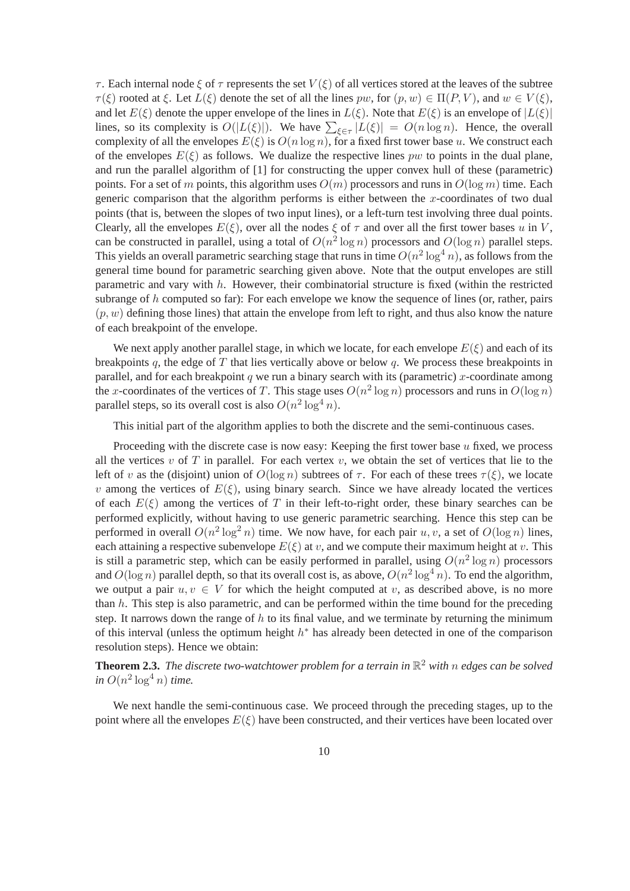$\tau$ . Each internal node  $\xi$  of  $\tau$  represents the set  $V(\xi)$  of all vertices stored at the leaves of the subtree  $\tau(\xi)$  rooted at  $\xi$ . Let  $L(\xi)$  denote the set of all the lines pw, for  $(p, w) \in \Pi(P, V)$ , and  $w \in V(\xi)$ , and let  $E(\xi)$  denote the upper envelope of the lines in  $L(\xi)$ . Note that  $E(\xi)$  is an envelope of  $|L(\xi)|$ lines, so its complexity is  $O(|L(\xi)|)$ . We have  $\sum_{\xi \in \tau} |L(\xi)| = O(n \log n)$ . Hence, the overall complexity of all the envelopes  $E(\xi)$  is  $O(n \log n)$ , for a fixed first tower base u. We construct each of the envelopes  $E(\xi)$  as follows. We dualize the respective lines pw to points in the dual plane, and run the parallel algorithm of [1] for constructing the upper convex hull of these (parametric) points. For a set of m points, this algorithm uses  $O(m)$  processors and runs in  $O(\log m)$  time. Each generic comparison that the algorithm performs is either between the x-coordinates of two dual points (that is, between the slopes of two input lines), or a left-turn test involving three dual points. Clearly, all the envelopes  $E(\xi)$ , over all the nodes  $\xi$  of  $\tau$  and over all the first tower bases u in V, can be constructed in parallel, using a total of  $O(n^2 \log n)$  processors and  $O(\log n)$  parallel steps. This yields an overall parametric searching stage that runs in time  $O(n^2 \log^4 n)$ , as follows from the general time bound for parametric searching given above. Note that the output envelopes are still parametric and vary with  $h$ . However, their combinatorial structure is fixed (within the restricted subrange of h computed so far): For each envelope we know the sequence of lines (or, rather, pairs  $(p, w)$  defining those lines) that attain the envelope from left to right, and thus also know the nature of each breakpoint of the envelope.

We next apply another parallel stage, in which we locate, for each envelope  $E(\xi)$  and each of its breakpoints q, the edge of  $T$  that lies vertically above or below  $q$ . We process these breakpoints in parallel, and for each breakpoint q we run a binary search with its (parametric) x-coordinate among the x-coordinates of the vertices of T. This stage uses  $O(n^2 \log n)$  processors and runs in  $O(\log n)$ parallel steps, so its overall cost is also  $O(n^2 \log^4 n)$ .

This initial part of the algorithm applies to both the discrete and the semi-continuous cases.

Proceeding with the discrete case is now easy: Keeping the first tower base  $u$  fixed, we process all the vertices v of T in parallel. For each vertex v, we obtain the set of vertices that lie to the left of v as the (disjoint) union of  $O(\log n)$  subtrees of  $\tau$ . For each of these trees  $\tau(\xi)$ , we locate v among the vertices of  $E(\xi)$ , using binary search. Since we have already located the vertices of each  $E(\xi)$  among the vertices of T in their left-to-right order, these binary searches can be performed explicitly, without having to use generic parametric searching. Hence this step can be performed in overall  $O(n^2 \log^2 n)$  time. We now have, for each pair  $u, v$ , a set of  $O(\log n)$  lines, each attaining a respective subenvelope  $E(\xi)$  at v, and we compute their maximum height at v. This is still a parametric step, which can be easily performed in parallel, using  $O(n^2 \log n)$  processors and  $O(\log n)$  parallel depth, so that its overall cost is, as above,  $O(n^2 \log^4 n)$ . To end the algorithm, we output a pair  $u, v \in V$  for which the height computed at v, as described above, is no more than  $h$ . This step is also parametric, and can be performed within the time bound for the preceding step. It narrows down the range of  $h$  to its final value, and we terminate by returning the minimum of this interval (unless the optimum height  $h^*$  has already been detected in one of the comparison resolution steps). Hence we obtain:

**Theorem 2.3.** The discrete two-watchtower problem for a terrain in  $\mathbb{R}^2$  with  $n$  edges can be solved  $\sin O(n^2 \log^4 n)$  *time.* 

We next handle the semi-continuous case. We proceed through the preceding stages, up to the point where all the envelopes  $E(\xi)$  have been constructed, and their vertices have been located over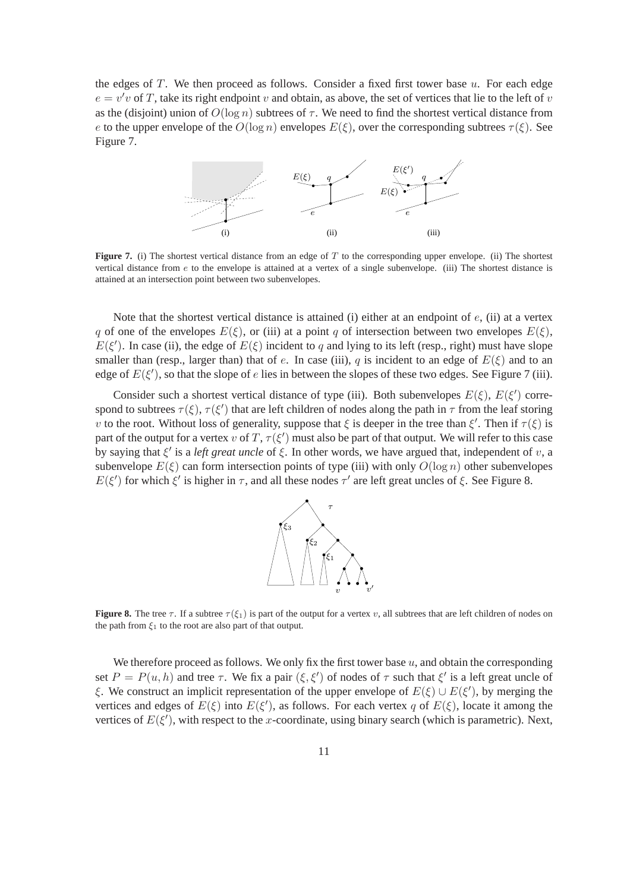the edges of  $T$ . We then proceed as follows. Consider a fixed first tower base  $u$ . For each edge  $e = v'v$  of T, take its right endpoint v and obtain, as above, the set of vertices that lie to the left of v as the (disjoint) union of  $O(\log n)$  subtrees of  $\tau$ . We need to find the shortest vertical distance from e to the upper envelope of the  $O(\log n)$  envelopes  $E(\xi)$ , over the corresponding subtrees  $\tau(\xi)$ . See Figure 7.



**Figure 7.** (i) The shortest vertical distance from an edge of T to the corresponding upper envelope. (ii) The shortest vertical distance from e to the envelope is attained at a vertex of a single subenvelope. (iii) The shortest distance is attained at an intersection point between two subenvelopes.

Note that the shortest vertical distance is attained (i) either at an endpoint of  $e$ , (ii) at a vertex q of one of the envelopes  $E(\xi)$ , or (iii) at a point q of intersection between two envelopes  $E(\xi)$ ,  $E(\xi')$ . In case (ii), the edge of  $E(\xi)$  incident to q and lying to its left (resp., right) must have slope smaller than (resp., larger than) that of e. In case (iii), q is incident to an edge of  $E(\xi)$  and to an edge of  $E(\xi')$ , so that the slope of e lies in between the slopes of these two edges. See Figure 7 (iii).

Consider such a shortest vertical distance of type (iii). Both subenvelopes  $E(\xi)$ ,  $E(\xi')$  correspond to subtrees  $\tau(\xi)$ ,  $\tau(\xi')$  that are left children of nodes along the path in  $\tau$  from the leaf storing v to the root. Without loss of generality, suppose that  $\xi$  is deeper in the tree than  $\xi'$ . Then if  $\tau(\xi)$  is part of the output for a vertex v of T,  $\tau(\xi')$  must also be part of that output. We will refer to this case by saying that  $\xi'$  is a *left great uncle* of  $\xi$ . In other words, we have argued that, independent of v, a subenvelope  $E(\xi)$  can form intersection points of type (iii) with only  $O(\log n)$  other subenvelopes  $E(\xi')$  for which  $\xi'$  is higher in  $\tau$ , and all these nodes  $\tau'$  are left great uncles of  $\xi$ . See Figure 8.



**Figure 8.** The tree  $\tau$ . If a subtree  $\tau(\xi_1)$  is part of the output for a vertex v, all subtrees that are left children of nodes on the path from  $\xi_1$  to the root are also part of that output.

We therefore proceed as follows. We only fix the first tower base  $u$ , and obtain the corresponding set  $P = P(u, h)$  and tree  $\tau$ . We fix a pair  $(\xi, \xi')$  of nodes of  $\tau$  such that  $\xi'$  is a left great uncle of ξ. We construct an implicit representation of the upper envelope of  $E(\xi) \cup E(\xi')$ , by merging the vertices and edges of  $E(\xi)$  into  $E(\xi')$ , as follows. For each vertex q of  $E(\xi)$ , locate it among the vertices of  $E(\xi')$ , with respect to the x-coordinate, using binary search (which is parametric). Next,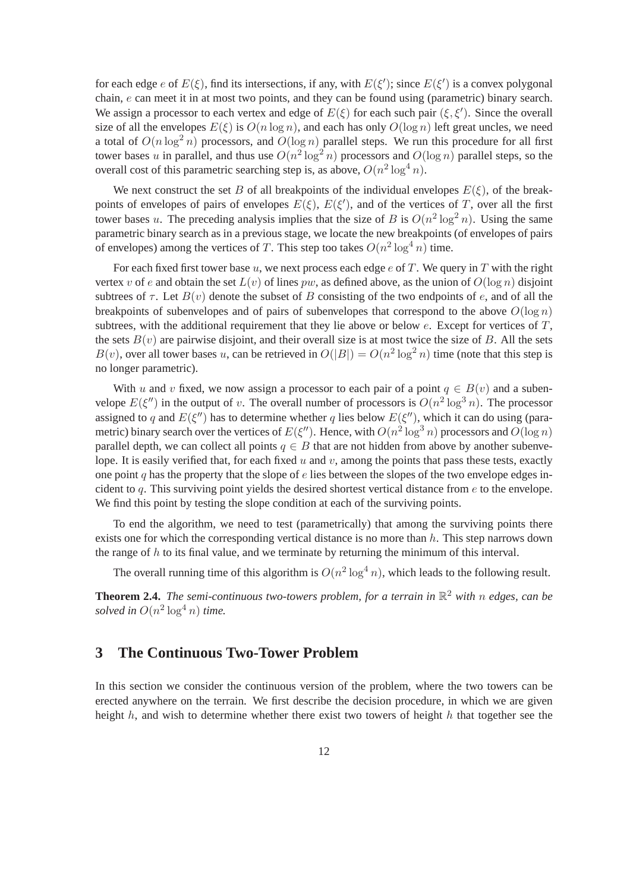for each edge e of  $E(\xi)$ , find its intersections, if any, with  $E(\xi')$ ; since  $E(\xi')$  is a convex polygonal chain, e can meet it in at most two points, and they can be found using (parametric) binary search. We assign a processor to each vertex and edge of  $E(\xi)$  for each such pair  $(\xi, \xi')$ . Since the overall size of all the envelopes  $E(\xi)$  is  $O(n \log n)$ , and each has only  $O(\log n)$  left great uncles, we need a total of  $O(n \log^2 n)$  processors, and  $O(\log n)$  parallel steps. We run this procedure for all first tower bases u in parallel, and thus use  $O(n^2 \log^2 n)$  processors and  $O(\log n)$  parallel steps, so the overall cost of this parametric searching step is, as above,  $O(n^2 \log^4 n)$ .

We next construct the set B of all breakpoints of the individual envelopes  $E(\xi)$ , of the breakpoints of envelopes of pairs of envelopes  $E(\xi)$ ,  $E(\xi')$ , and of the vertices of T, over all the first tower bases u. The preceding analysis implies that the size of B is  $O(n^2 \log^2 n)$ . Using the same parametric binary search as in a previous stage, we locate the new breakpoints (of envelopes of pairs of envelopes) among the vertices of T. This step too takes  $O(n^2 \log^4 n)$  time.

For each fixed first tower base  $u$ , we next process each edge  $e$  of T. We query in T with the right vertex v of e and obtain the set  $L(v)$  of lines pw, as defined above, as the union of  $O(\log n)$  disjoint subtrees of  $\tau$ . Let  $B(v)$  denote the subset of B consisting of the two endpoints of e, and of all the breakpoints of subenvelopes and of pairs of subenvelopes that correspond to the above  $O(\log n)$ subtrees, with the additional requirement that they lie above or below  $e$ . Except for vertices of  $T$ , the sets  $B(v)$  are pairwise disjoint, and their overall size is at most twice the size of B. All the sets  $B(v)$ , over all tower bases u, can be retrieved in  $O(|B|) = O(n^2 \log^2 n)$  time (note that this step is no longer parametric).

With u and v fixed, we now assign a processor to each pair of a point  $q \in B(v)$  and a subenvelope  $E(\xi'')$  in the output of v. The overall number of processors is  $O(n^2 \log^3 n)$ . The processor assigned to q and  $E(\xi'')$  has to determine whether q lies below  $E(\xi'')$ , which it can do using (parametric) binary search over the vertices of  $E(\xi'')$ . Hence, with  $O(n^2 \log^3 n)$  processors and  $O(\log n)$ parallel depth, we can collect all points  $q \in B$  that are not hidden from above by another subenvelope. It is easily verified that, for each fixed u and v, among the points that pass these tests, exactly one point q has the property that the slope of  $e$  lies between the slopes of the two envelope edges incident to  $q$ . This surviving point yields the desired shortest vertical distance from  $e$  to the envelope. We find this point by testing the slope condition at each of the surviving points.

To end the algorithm, we need to test (parametrically) that among the surviving points there exists one for which the corresponding vertical distance is no more than h. This step narrows down the range of  $h$  to its final value, and we terminate by returning the minimum of this interval.

The overall running time of this algorithm is  $O(n^2 \log^4 n)$ , which leads to the following result.

**Theorem 2.4.** *The semi-continuous two-towers problem, for a terrain in* R <sup>2</sup> *with* n *edges, can be* solved in  $O(n^2 \log^4 n)$  time.

### **3 The Continuous Two-Tower Problem**

In this section we consider the continuous version of the problem, where the two towers can be erected anywhere on the terrain. We first describe the decision procedure, in which we are given height h, and wish to determine whether there exist two towers of height h that together see the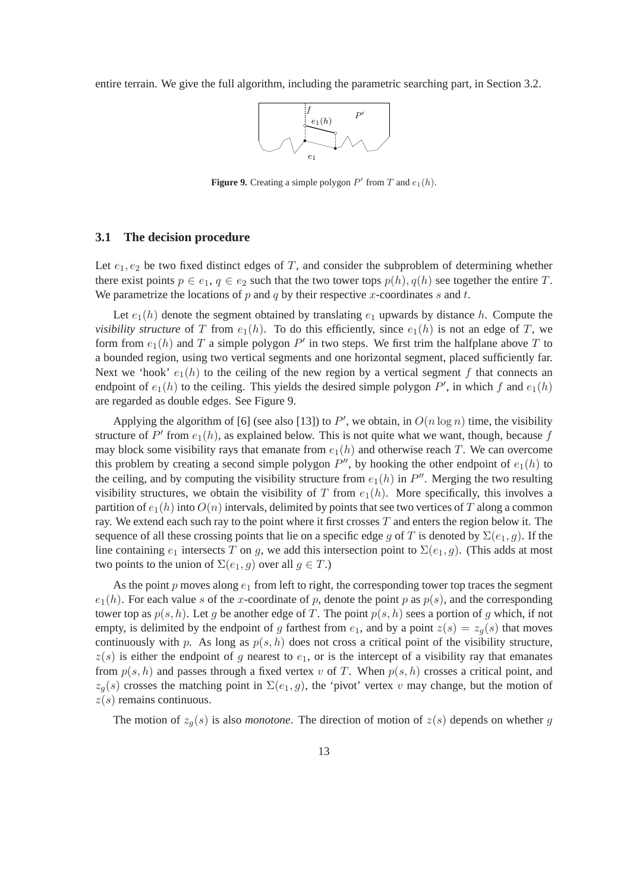entire terrain. We give the full algorithm, including the parametric searching part, in Section 3.2.



**Figure 9.** Creating a simple polygon  $P'$  from  $T$  and  $e_1(h)$ .

#### **3.1 The decision procedure**

Let  $e_1, e_2$  be two fixed distinct edges of T, and consider the subproblem of determining whether there exist points  $p \in e_1, q \in e_2$  such that the two tower tops  $p(h), q(h)$  see together the entire T. We parametrize the locations of  $p$  and  $q$  by their respective  $x$ -coordinates  $s$  and  $t$ .

Let  $e_1(h)$  denote the segment obtained by translating  $e_1$  upwards by distance h. Compute the *visibility structure* of T from  $e_1(h)$ . To do this efficiently, since  $e_1(h)$  is not an edge of T, we form from  $e_1(h)$  and T a simple polygon  $P'$  in two steps. We first trim the halfplane above T to a bounded region, using two vertical segments and one horizontal segment, placed sufficiently far. Next we 'hook'  $e_1(h)$  to the ceiling of the new region by a vertical segment f that connects an endpoint of  $e_1(h)$  to the ceiling. This yields the desired simple polygon  $P'$ , in which f and  $e_1(h)$ are regarded as double edges. See Figure 9.

Applying the algorithm of [6] (see also [13]) to P', we obtain, in  $O(n \log n)$  time, the visibility structure of  $P'$  from  $e_1(h)$ , as explained below. This is not quite what we want, though, because f may block some visibility rays that emanate from  $e_1(h)$  and otherwise reach T. We can overcome this problem by creating a second simple polygon  $P''$ , by hooking the other endpoint of  $e_1(h)$  to the ceiling, and by computing the visibility structure from  $e_1(h)$  in  $P''$ . Merging the two resulting visibility structures, we obtain the visibility of T from  $e_1(h)$ . More specifically, this involves a partition of  $e_1(h)$  into  $O(n)$  intervals, delimited by points that see two vertices of T along a common ray. We extend each such ray to the point where it first crosses  $T$  and enters the region below it. The sequence of all these crossing points that lie on a specific edge g of T is denoted by  $\Sigma(e_1, g)$ . If the line containing  $e_1$  intersects T on g, we add this intersection point to  $\Sigma(e_1, g)$ . (This adds at most two points to the union of  $\Sigma(e_1, g)$  over all  $g \in T$ .)

As the point p moves along  $e_1$  from left to right, the corresponding tower top traces the segment  $e_1(h)$ . For each value s of the x-coordinate of p, denote the point p as  $p(s)$ , and the corresponding tower top as  $p(s, h)$ . Let g be another edge of T. The point  $p(s, h)$  sees a portion of g which, if not empty, is delimited by the endpoint of g farthest from  $e_1$ , and by a point  $z(s) = z_q(s)$  that moves continuously with p. As long as  $p(s, h)$  does not cross a critical point of the visibility structure,  $z(s)$  is either the endpoint of g nearest to  $e_1$ , or is the intercept of a visibility ray that emanates from  $p(s, h)$  and passes through a fixed vertex v of T. When  $p(s, h)$  crosses a critical point, and  $z_g(s)$  crosses the matching point in  $\Sigma(e_1, g)$ , the 'pivot' vertex v may change, but the motion of  $z(s)$  remains continuous.

The motion of  $z_q(s)$  is also *monotone*. The direction of motion of  $z(s)$  depends on whether g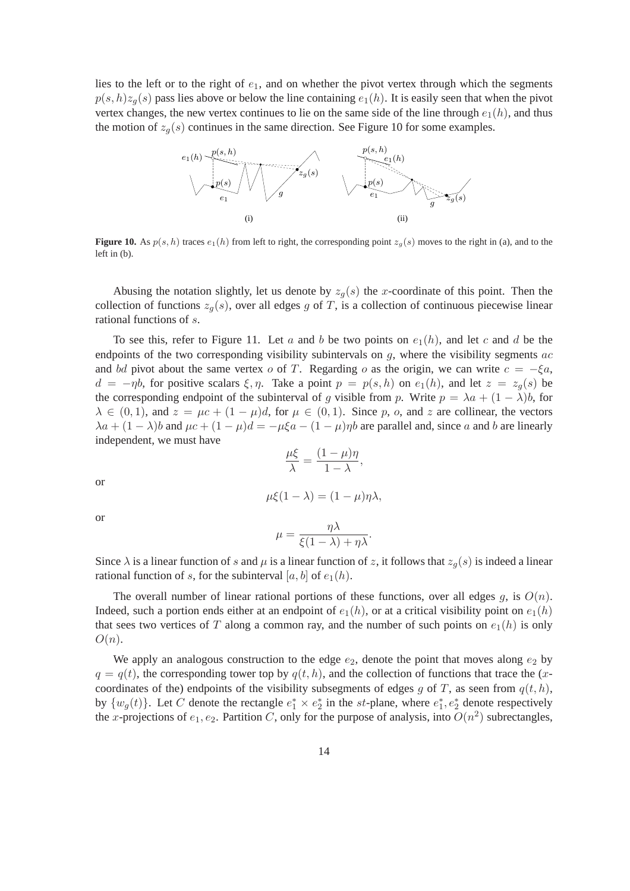lies to the left or to the right of  $e_1$ , and on whether the pivot vertex through which the segments  $p(s, h)z_q(s)$  pass lies above or below the line containing  $e_1(h)$ . It is easily seen that when the pivot vertex changes, the new vertex continues to lie on the same side of the line through  $e_1(h)$ , and thus the motion of  $z_q(s)$  continues in the same direction. See Figure 10 for some examples.



**Figure 10.** As  $p(s, h)$  traces  $e_1(h)$  from left to right, the corresponding point  $z_g(s)$  moves to the right in (a), and to the left in (b).

Abusing the notation slightly, let us denote by  $z_g(s)$  the x-coordinate of this point. Then the collection of functions  $z_q(s)$ , over all edges g of T, is a collection of continuous piecewise linear rational functions of s.

To see this, refer to Figure 11. Let a and b be two points on  $e_1(h)$ , and let c and d be the endpoints of the two corresponding visibility subintervals on  $q$ , where the visibility segments  $ac$ and bd pivot about the same vertex o of T. Regarding o as the origin, we can write  $c = -\xi a$ ,  $d = -\eta b$ , for positive scalars  $\xi, \eta$ . Take a point  $p = p(s, h)$  on  $e_1(h)$ , and let  $z = z_g(s)$  be the corresponding endpoint of the subinterval of g visible from p. Write  $p = \lambda a + (1 - \lambda)b$ , for  $\lambda \in (0,1)$ , and  $z = \mu c + (1 - \mu)d$ , for  $\mu \in (0,1)$ . Since p, o, and z are collinear, the vectors  $\lambda a + (1 - \lambda)b$  and  $\mu c + (1 - \mu)d = -\mu \xi a - (1 - \mu)\eta b$  are parallel and, since a and b are linearly independent, we must have

$$
\frac{\mu\xi}{\lambda} = \frac{(1-\mu)\eta}{1-\lambda},
$$
  

$$
\mu\xi(1-\lambda) = (1-\mu)\eta\lambda,
$$

or or

$$
\mu = \frac{\eta \lambda}{\xi(1-\lambda) + \eta \lambda}.
$$

Since  $\lambda$  is a linear function of s and  $\mu$  is a linear function of z, it follows that  $z_g(s)$  is indeed a linear rational function of s, for the subinterval  $[a, b]$  of  $e_1(h)$ .

The overall number of linear rational portions of these functions, over all edges q, is  $O(n)$ . Indeed, such a portion ends either at an endpoint of  $e_1(h)$ , or at a critical visibility point on  $e_1(h)$ that sees two vertices of T along a common ray, and the number of such points on  $e_1(h)$  is only  $O(n).$ 

We apply an analogous construction to the edge  $e_2$ , denote the point that moves along  $e_2$  by  $q = q(t)$ , the corresponding tower top by  $q(t, h)$ , and the collection of functions that trace the (xcoordinates of the) endpoints of the visibility subsegments of edges g of T, as seen from  $q(t, h)$ , by  $\{w_g(t)\}\$ . Let C denote the rectangle  $e_1^* \times e_2^*$  in the st-plane, where  $e_1^*, e_2^*$  denote respectively the x-projections of  $e_1, e_2$ . Partition C, only for the purpose of analysis, into  $O(n^2)$  subrectangles,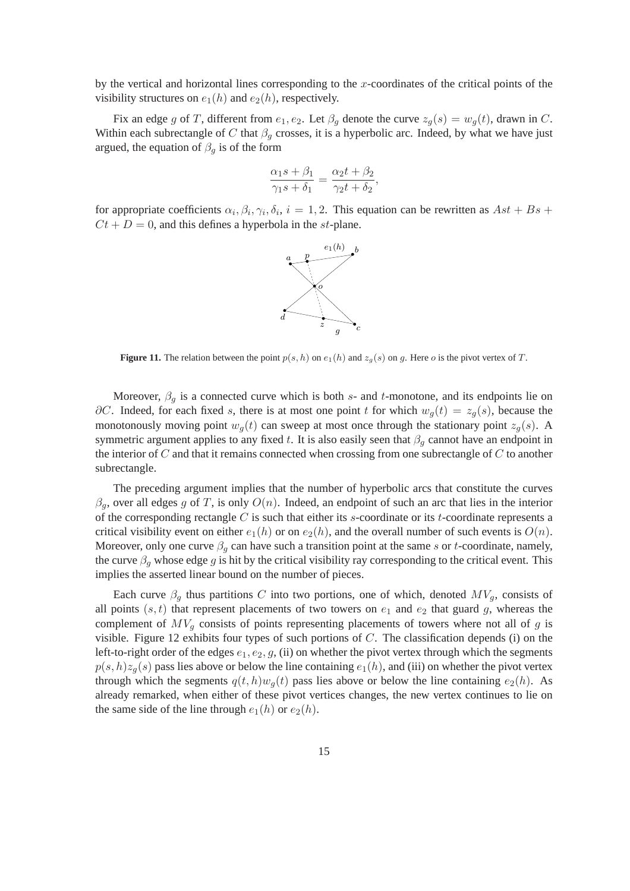by the vertical and horizontal lines corresponding to the  $x$ -coordinates of the critical points of the visibility structures on  $e_1(h)$  and  $e_2(h)$ , respectively.

Fix an edge g of T, different from  $e_1, e_2$ . Let  $\beta_g$  denote the curve  $z_g(s) = w_g(t)$ , drawn in C. Within each subrectangle of C that  $\beta_g$  crosses, it is a hyperbolic arc. Indeed, by what we have just argued, the equation of  $\beta_q$  is of the form

$$
\frac{\alpha_1 s + \beta_1}{\gamma_1 s + \delta_1} = \frac{\alpha_2 t + \beta_2}{\gamma_2 t + \delta_2},
$$

for appropriate coefficients  $\alpha_i, \beta_i, \gamma_i, \delta_i, i = 1, 2$ . This equation can be rewritten as  $Ast + Bs +$  $Ct + D = 0$ , and this defines a hyperbola in the st-plane.



**Figure 11.** The relation between the point  $p(s, h)$  on  $e_1(h)$  and  $z_q(s)$  on g. Here o is the pivot vertex of T.

Moreover,  $\beta_q$  is a connected curve which is both s- and t-monotone, and its endpoints lie on  $\partial C$ . Indeed, for each fixed s, there is at most one point t for which  $w_g(t) = z_g(s)$ , because the monotonously moving point  $w_q(t)$  can sweep at most once through the stationary point  $z_q(s)$ . A symmetric argument applies to any fixed t. It is also easily seen that  $\beta_q$  cannot have an endpoint in the interior of  $C$  and that it remains connected when crossing from one subrectangle of  $C$  to another subrectangle.

The preceding argument implies that the number of hyperbolic arcs that constitute the curves  $\beta_q$ , over all edges g of T, is only  $O(n)$ . Indeed, an endpoint of such an arc that lies in the interior of the corresponding rectangle  $C$  is such that either its s-coordinate or its t-coordinate represents a critical visibility event on either  $e_1(h)$  or on  $e_2(h)$ , and the overall number of such events is  $O(n)$ . Moreover, only one curve  $\beta_g$  can have such a transition point at the same s or t-coordinate, namely, the curve  $\beta_q$  whose edge g is hit by the critical visibility ray corresponding to the critical event. This implies the asserted linear bound on the number of pieces.

Each curve  $\beta_q$  thus partitions C into two portions, one of which, denoted  $MV_q$ , consists of all points  $(s, t)$  that represent placements of two towers on  $e_1$  and  $e_2$  that guard g, whereas the complement of  $MV_q$  consists of points representing placements of towers where not all of g is visible. Figure 12 exhibits four types of such portions of  $C$ . The classification depends (i) on the left-to-right order of the edges  $e_1, e_2, g$ , (ii) on whether the pivot vertex through which the segments  $p(s, h)z_q(s)$  pass lies above or below the line containing  $e_1(h)$ , and (iii) on whether the pivot vertex through which the segments  $q(t, h)w_q(t)$  pass lies above or below the line containing  $e_2(h)$ . As already remarked, when either of these pivot vertices changes, the new vertex continues to lie on the same side of the line through  $e_1(h)$  or  $e_2(h)$ .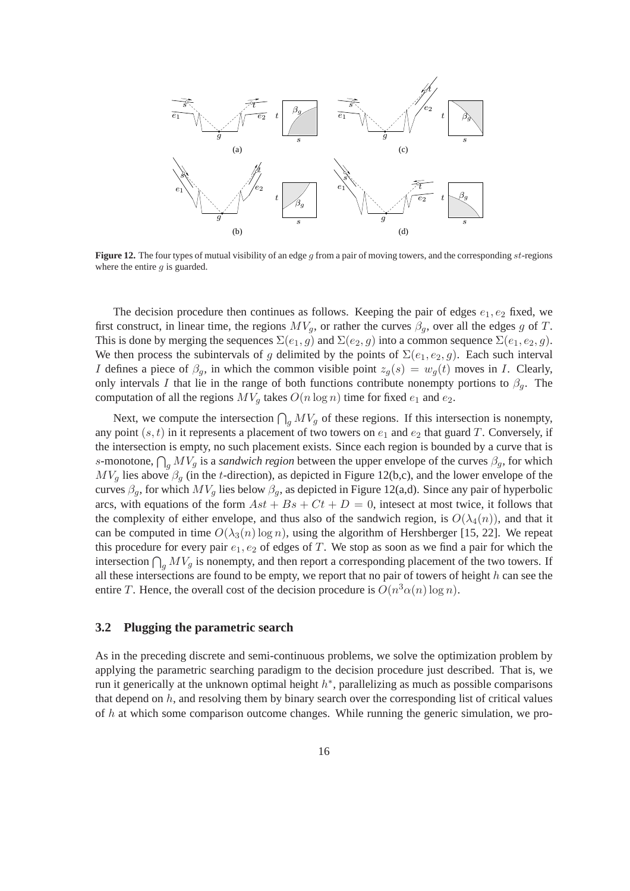

**Figure 12.** The four types of mutual visibility of an edge q from a pair of moving towers, and the corresponding st-regions where the entire  $q$  is guarded.

The decision procedure then continues as follows. Keeping the pair of edges  $e_1, e_2$  fixed, we first construct, in linear time, the regions  $MV_g$ , or rather the curves  $\beta_g$ , over all the edges g of T. This is done by merging the sequences  $\Sigma(e_1, g)$  and  $\Sigma(e_2, g)$  into a common sequence  $\Sigma(e_1, e_2, g)$ . We then process the subintervals of g delimited by the points of  $\Sigma(e_1, e_2, q)$ . Each such interval I defines a piece of  $\beta_q$ , in which the common visible point  $z_q(s) = w_q(t)$  moves in I. Clearly, only intervals I that lie in the range of both functions contribute nonempty portions to  $\beta_q$ . The computation of all the regions  $MV_q$  takes  $O(n \log n)$  time for fixed  $e_1$  and  $e_2$ .

Next, we compute the intersection  $\bigcap_{g} MV_g$  of these regions. If this intersection is nonempty, any point  $(s, t)$  in it represents a placement of two towers on  $e_1$  and  $e_2$  that guard T. Conversely, if the intersection is empty, no such placement exists. Since each region is bounded by a curve that is s-monotone,  $\bigcap_g MV_g$  is a *sandwich region* between the upper envelope of the curves  $\beta_g$ , for which  $MV<sub>g</sub>$  lies above  $\beta_g$  (in the t-direction), as depicted in Figure 12(b,c), and the lower envelope of the curves  $\beta_g$ , for which  $MV_g$  lies below  $\beta_g$ , as depicted in Figure 12(a,d). Since any pair of hyperbolic arcs, with equations of the form  $Ast + Bs + Ct + D = 0$ , intesect at most twice, it follows that the complexity of either envelope, and thus also of the sandwich region, is  $O(\lambda_4(n))$ , and that it can be computed in time  $O(\lambda_3(n) \log n)$ , using the algorithm of Hershberger [15, 22]. We repeat this procedure for every pair  $e_1, e_2$  of edges of T. We stop as soon as we find a pair for which the intersection  $\bigcap_{g} MV_g$  is nonempty, and then report a corresponding placement of the two towers. If all these intersections are found to be empty, we report that no pair of towers of height  $h$  can see the entire T. Hence, the overall cost of the decision procedure is  $O(n^3 \alpha(n) \log n)$ .

#### **3.2 Plugging the parametric search**

As in the preceding discrete and semi-continuous problems, we solve the optimization problem by applying the parametric searching paradigm to the decision procedure just described. That is, we run it generically at the unknown optimal height  $h^*$ , parallelizing as much as possible comparisons that depend on h, and resolving them by binary search over the corresponding list of critical values of  $h$  at which some comparison outcome changes. While running the generic simulation, we pro-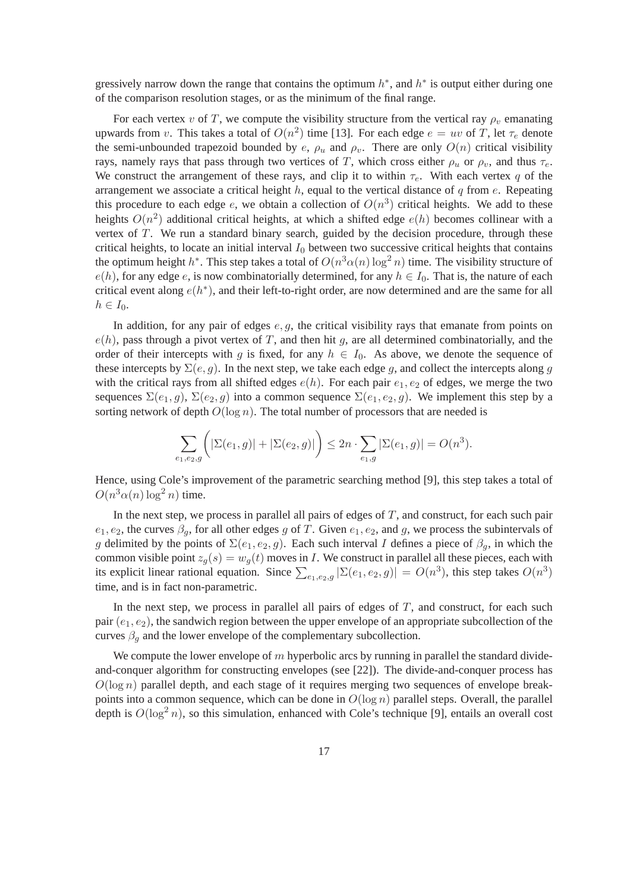gressively narrow down the range that contains the optimum  $h^*$ , and  $h^*$  is output either during one of the comparison resolution stages, or as the minimum of the final range.

For each vertex v of T, we compute the visibility structure from the vertical ray  $\rho_v$  emanating upwards from v. This takes a total of  $O(n^2)$  time [13]. For each edge  $e = uv$  of T, let  $\tau_e$  denote the semi-unbounded trapezoid bounded by e,  $\rho_u$  and  $\rho_v$ . There are only  $O(n)$  critical visibility rays, namely rays that pass through two vertices of T, which cross either  $\rho_u$  or  $\rho_v$ , and thus  $\tau_e$ . We construct the arrangement of these rays, and clip it to within  $\tau_e$ . With each vertex q of the arrangement we associate a critical height  $h$ , equal to the vertical distance of  $q$  from  $e$ . Repeating this procedure to each edge e, we obtain a collection of  $O(n^3)$  critical heights. We add to these heights  $O(n^2)$  additional critical heights, at which a shifted edge  $e(h)$  becomes collinear with a vertex of  $T$ . We run a standard binary search, guided by the decision procedure, through these critical heights, to locate an initial interval  $I_0$  between two successive critical heights that contains the optimum height  $h^*$ . This step takes a total of  $O(n^3\alpha(n)\log^2 n)$  time. The visibility structure of  $e(h)$ , for any edge e, is now combinatorially determined, for any  $h \in I_0$ . That is, the nature of each critical event along  $e(h^*)$ , and their left-to-right order, are now determined and are the same for all  $h\in I_0.$ 

In addition, for any pair of edges  $e, g$ , the critical visibility rays that emanate from points on  $e(h)$ , pass through a pivot vertex of T, and then hit g, are all determined combinatorially, and the order of their intercepts with g is fixed, for any  $h \in I_0$ . As above, we denote the sequence of these intercepts by  $\Sigma(e, g)$ . In the next step, we take each edge g, and collect the intercepts along g with the critical rays from all shifted edges  $e(h)$ . For each pair  $e_1, e_2$  of edges, we merge the two sequences  $\Sigma(e_1, g)$ ,  $\Sigma(e_2, g)$  into a common sequence  $\Sigma(e_1, e_2, g)$ . We implement this step by a sorting network of depth  $O(\log n)$ . The total number of processors that are needed is

$$
\sum_{e_1, e_2, g} \Big( |\Sigma(e_1, g)| + |\Sigma(e_2, g)| \Big) \le 2n \cdot \sum_{e_1, g} |\Sigma(e_1, g)| = O(n^3).
$$

Hence, using Cole's improvement of the parametric searching method [9], this step takes a total of  $O(n^3\alpha(n)\log^2 n)$  time.

In the next step, we process in parallel all pairs of edges of  $T$ , and construct, for each such pair  $e_1, e_2$ , the curves  $\beta_q$ , for all other edges g of T. Given  $e_1, e_2$ , and g, we process the subintervals of g delimited by the points of  $\Sigma(e_1, e_2, g)$ . Each such interval I defines a piece of  $\beta_q$ , in which the common visible point  $z_g(s) = w_g(t)$  moves in I. We construct in parallel all these pieces, each with its explicit linear rational equation. Since  $\sum_{e_1,e_2,g} |\Sigma(e_1,e_2,g)| = O(n^3)$ , this step takes  $O(n^3)$ time, and is in fact non-parametric.

In the next step, we process in parallel all pairs of edges of  $T$ , and construct, for each such pair  $(e_1, e_2)$ , the sandwich region between the upper envelope of an appropriate subcollection of the curves  $\beta_q$  and the lower envelope of the complementary subcollection.

We compute the lower envelope of  $m$  hyperbolic arcs by running in parallel the standard divideand-conquer algorithm for constructing envelopes (see [22]). The divide-and-conquer process has  $O(\log n)$  parallel depth, and each stage of it requires merging two sequences of envelope breakpoints into a common sequence, which can be done in  $O(\log n)$  parallel steps. Overall, the parallel depth is  $O(\log^2 n)$ , so this simulation, enhanced with Cole's technique [9], entails an overall cost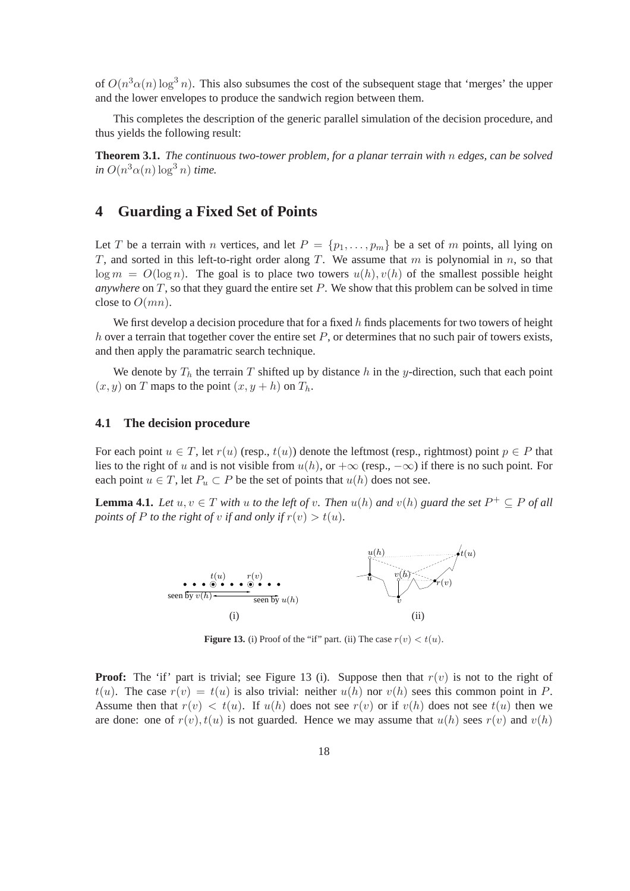of  $O(n^3 \alpha(n) \log^3 n)$ . This also subsumes the cost of the subsequent stage that 'merges' the upper and the lower envelopes to produce the sandwich region between them.

This completes the description of the generic parallel simulation of the decision procedure, and thus yields the following result:

**Theorem 3.1.** *The continuous two-tower problem, for a planar terrain with* n *edges, can be solved*  $\sin O(n^3 \alpha(n) \log^3 n)$  *time.* 

## **4 Guarding a Fixed Set of Points**

Let T be a terrain with n vertices, and let  $P = \{p_1, \ldots, p_m\}$  be a set of m points, all lying on T, and sorted in this left-to-right order along T. We assume that  $m$  is polynomial in  $n$ , so that  $\log m = O(\log n)$ . The goal is to place two towers  $u(h), v(h)$  of the smallest possible height *anywhere* on  $T$ , so that they guard the entire set  $P$ . We show that this problem can be solved in time close to  $O(mn)$ .

We first develop a decision procedure that for a fixed  $h$  finds placements for two towers of height h over a terrain that together cover the entire set P, or determines that no such pair of towers exists, and then apply the paramatric search technique.

We denote by  $T_h$  the terrain T shifted up by distance h in the y-direction, such that each point  $(x, y)$  on T maps to the point  $(x, y + h)$  on  $T<sub>h</sub>$ .

#### **4.1 The decision procedure**

For each point  $u \in T$ , let  $r(u)$  (resp.,  $t(u)$ ) denote the leftmost (resp., rightmost) point  $p \in P$  that lies to the right of u and is not visible from  $u(h)$ , or  $+\infty$  (resp.,  $-\infty$ ) if there is no such point. For each point  $u \in T$ , let  $P_u \subset P$  be the set of points that  $u(h)$  does not see.

**Lemma 4.1.** *Let*  $u, v \in T$  *with*  $u$  *to the left of*  $v$ *. Then*  $u(h)$  *and*  $v(h)$  *guard the set*  $P^+ \subseteq P$  *of all points of* P *to the right of* v *if and only if*  $r(v) > t(u)$ *.* 



**Figure 13.** (i) Proof of the "if" part. (ii) The case  $r(v) < t(u)$ .

**Proof:** The 'if' part is trivial; see Figure 13 (i). Suppose then that  $r(v)$  is not to the right of  $t(u)$ . The case  $r(v) = t(u)$  is also trivial: neither  $u(h)$  nor  $v(h)$  sees this common point in P. Assume then that  $r(v) < t(u)$ . If  $u(h)$  does not see  $r(v)$  or if  $v(h)$  does not see  $t(u)$  then we are done: one of  $r(v)$ ,  $t(u)$  is not guarded. Hence we may assume that  $u(h)$  sees  $r(v)$  and  $v(h)$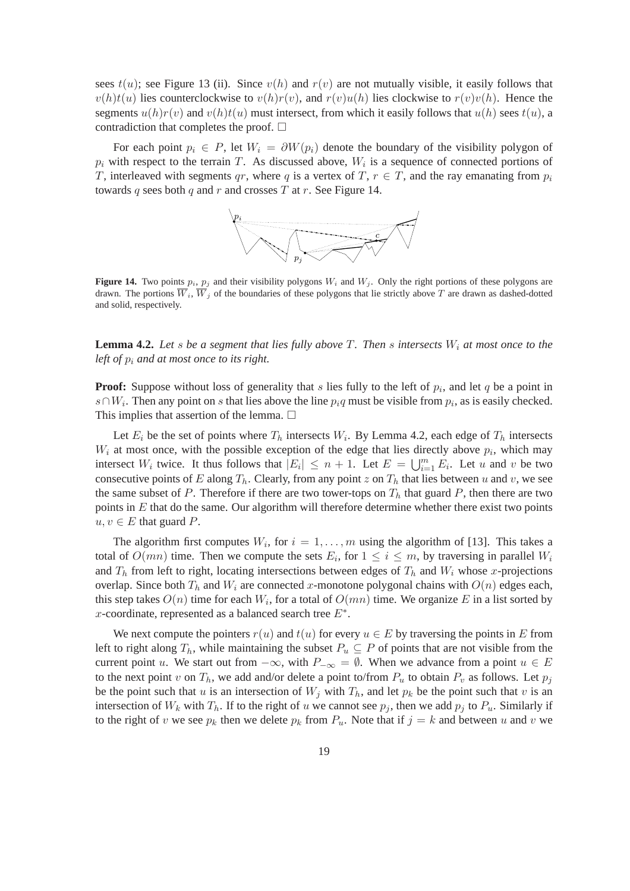sees  $t(u)$ ; see Figure 13 (ii). Since  $v(h)$  and  $r(v)$  are not mutually visible, it easily follows that  $v(h)t(u)$  lies counterclockwise to  $v(h)r(v)$ , and  $r(v)u(h)$  lies clockwise to  $r(v)v(h)$ . Hence the segments  $u(h)r(v)$  and  $v(h)t(u)$  must intersect, from which it easily follows that  $u(h)$  sees  $t(u)$ , a contradiction that completes the proof.  $\Box$ 

For each point  $p_i \in P$ , let  $W_i = \partial W(p_i)$  denote the boundary of the visibility polygon of  $p_i$  with respect to the terrain T. As discussed above,  $W_i$  is a sequence of connected portions of T, interleaved with segments qr, where q is a vertex of T,  $r \in T$ , and the ray emanating from  $p_i$ towards q sees both q and r and crosses T at r. See Figure 14.



**Figure 14.** Two points  $p_i$ ,  $p_j$  and their visibility polygons  $W_i$  and  $W_j$ . Only the right portions of these polygons are drawn. The portions  $\overline{W}_i$ ,  $\overline{W}_j$  of the boundaries of these polygons that lie strictly above T are drawn as dashed-dotted and solid, respectively.

**Lemma 4.2.** Let s be a segment that lies fully above T. Then s intersects  $W_i$  at most once to the *left of* p<sup>i</sup> *and at most once to its right.*

**Proof:** Suppose without loss of generality that  $s$  lies fully to the left of  $p_i$ , and let  $q$  be a point in  $s∩W_i$ . Then any point on s that lies above the line  $p_iq$  must be visible from  $p_i$ , as is easily checked. This implies that assertion of the lemma.  $\Box$ 

Let  $E_i$  be the set of points where  $T_h$  intersects  $W_i$ . By Lemma 4.2, each edge of  $T_h$  intersects  $W_i$  at most once, with the possible exception of the edge that lies directly above  $p_i$ , which may intersect  $W_i$  twice. It thus follows that  $|E_i| \le n + 1$ . Let  $E = \bigcup_{i=1}^m E_i$ . Let u and v be two consecutive points of E along  $T_h$ . Clearly, from any point z on  $T_h$  that lies between u and v, we see the same subset of P. Therefore if there are two tower-tops on  $T<sub>h</sub>$  that guard P, then there are two points in  $E$  that do the same. Our algorithm will therefore determine whether there exist two points  $u, v \in E$  that guard P.

The algorithm first computes  $W_i$ , for  $i = 1, \ldots, m$  using the algorithm of [13]. This takes a total of  $O(mn)$  time. Then we compute the sets  $E_i$ , for  $1 \leq i \leq m$ , by traversing in parallel  $W_i$ and  $T_h$  from left to right, locating intersections between edges of  $T_h$  and  $W_i$  whose x-projections overlap. Since both  $T_h$  and  $W_i$  are connected x-monotone polygonal chains with  $O(n)$  edges each, this step takes  $O(n)$  time for each  $W_i$ , for a total of  $O(mn)$  time. We organize  $E$  in a list sorted by x-coordinate, represented as a balanced search tree  $E^*$ .

We next compute the pointers  $r(u)$  and  $t(u)$  for every  $u \in E$  by traversing the points in E from left to right along  $T_h$ , while maintaining the subset  $P_u \subseteq P$  of points that are not visible from the current point u. We start out from  $-\infty$ , with  $P_{-\infty} = \emptyset$ . When we advance from a point  $u \in E$ to the next point v on  $T_h$ , we add and/or delete a point to/from  $P_u$  to obtain  $P_v$  as follows. Let  $p_i$ be the point such that u is an intersection of  $W_j$  with  $T_h$ , and let  $p_k$  be the point such that v is an intersection of  $W_k$  with  $T_h$ . If to the right of u we cannot see  $p_j$ , then we add  $p_j$  to  $P_u$ . Similarly if to the right of v we see  $p_k$  then we delete  $p_k$  from  $P_u$ . Note that if  $j = k$  and between u and v we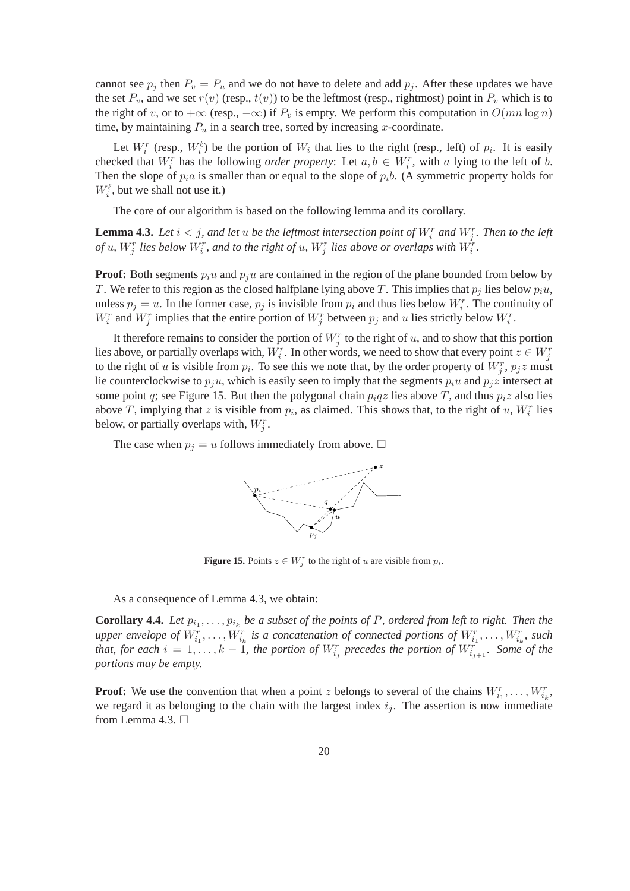cannot see  $p_j$  then  $P_v = P_u$  and we do not have to delete and add  $p_j$ . After these updates we have the set  $P_v$ , and we set  $r(v)$  (resp.,  $t(v)$ ) to be the leftmost (resp., rightmost) point in  $P_v$  which is to the right of v, or to  $+\infty$  (resp.,  $-\infty$ ) if  $P_v$  is empty. We perform this computation in  $O(mn \log n)$ time, by maintaining  $P_u$  in a search tree, sorted by increasing x-coordinate.

Let  $W_i^r$  (resp.,  $W_i^{\ell}$ ) be the portion of  $W_i$  that lies to the right (resp., left) of  $p_i$ . It is easily checked that  $W_i^r$  has the following *order property*: Let  $a, b \in W_i^r$ , with a lying to the left of b. Then the slope of  $p_i a$  is smaller than or equal to the slope of  $p_i b$ . (A symmetric property holds for  $W_i^{\ell}$ , but we shall not use it.)

The core of our algorithm is based on the following lemma and its corollary.

**Lemma 4.3.** Let  $i < j$ , and let u be the leftmost intersection point of  $W_i^r$  and  $W_j^r$ . Then to the left *of* u,  $W_j^r$  lies below  $W_i^r$ , and to the right of u,  $W_j^r$  lies above or overlaps with  $\tilde{W_i^r}$ .

**Proof:** Both segments  $p_i u$  and  $p_j u$  are contained in the region of the plane bounded from below by T. We refer to this region as the closed halfplane lying above T. This implies that  $p_i$  lies below  $p_iu$ , unless  $p_j = u$ . In the former case,  $p_j$  is invisible from  $p_i$  and thus lies below  $W_i^r$ . The continuity of  $W_i^r$  and  $W_j^r$  implies that the entire portion of  $W_j^r$  between  $p_j$  and u lies strictly below  $W_i^r$ .

It therefore remains to consider the portion of  $W_j^r$  to the right of u, and to show that this portion lies above, or partially overlaps with,  $W_i^r$ . In other words, we need to show that every point  $z \in W_j^r$ to the right of u is visible from  $p_i$ . To see this we note that, by the order property of  $W_j^r$ ,  $p_j z$  must lie counterclockwise to  $p_i u$ , which is easily seen to imply that the segments  $p_i u$  and  $p_j z$  intersect at some point q; see Figure 15. But then the polygonal chain  $p_i qz$  lies above T, and thus  $p_i z$  also lies above T, implying that z is visible from  $p_i$ , as claimed. This shows that, to the right of u,  $W_i^r$  lies below, or partially overlaps with,  $W_j^r$ .

The case when  $p_j = u$  follows immediately from above.  $\Box$ 



**Figure 15.** Points  $z \in W_j^r$  to the right of u are visible from  $p_i$ .

As a consequence of Lemma 4.3, we obtain:

**Corollary 4.4.** Let  $p_{i_1}, \ldots, p_{i_k}$  be a subset of the points of P, ordered from left to right. Then the upper envelope of  $W_{i_1}^r, \ldots, W_{i_k}^r$  is a concatenation of connected portions of  $W_{i_1}^r, \ldots, W_{i_k}^r$ , such *that, for each*  $i = 1, \ldots, k - 1$ , the portion of  $W_{i_j}^r$  precedes the portion of  $W_{i_{j+1}}^r$ . Some of the *portions may be empty.*

**Proof:** We use the convention that when a point z belongs to several of the chains  $W_{i_1}^r, \ldots, W_{i_k}^r$ , we regard it as belonging to the chain with the largest index  $i_j$ . The assertion is now immediate from Lemma 4.3.  $\Box$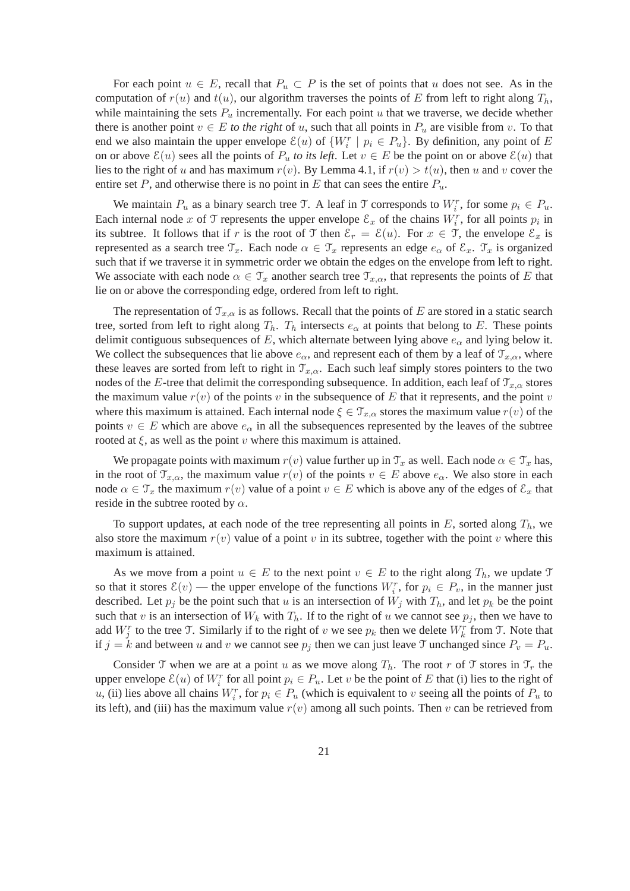For each point  $u \in E$ , recall that  $P_u \subset P$  is the set of points that u does not see. As in the computation of  $r(u)$  and  $t(u)$ , our algorithm traverses the points of E from left to right along  $T_h$ , while maintaining the sets  $P_u$  incrementally. For each point u that we traverse, we decide whether there is another point  $v \in E$  *to the right* of u, such that all points in  $P_u$  are visible from v. To that end we also maintain the upper envelope  $\mathcal{E}(u)$  of  $\{W_i^r | p_i \in P_u\}$ . By definition, any point of E on or above  $\mathcal{E}(u)$  sees all the points of  $P_u$  *to its left*. Let  $v \in E$  be the point on or above  $\mathcal{E}(u)$  that lies to the right of u and has maximum  $r(v)$ . By Lemma 4.1, if  $r(v) > t(u)$ , then u and v cover the entire set P, and otherwise there is no point in E that can sees the entire  $P_u$ .

We maintain  $P_u$  as a binary search tree T. A leaf in T corresponds to  $W_i^r$ , for some  $p_i \in P_u$ . Each internal node x of T represents the upper envelope  $\mathcal{E}_x$  of the chains  $W_i^r$ , for all points  $p_i$  in its subtree. It follows that if r is the root of T then  $\mathcal{E}_r = \mathcal{E}(u)$ . For  $x \in \mathcal{T}$ , the envelope  $\mathcal{E}_x$  is represented as a search tree  $\mathcal{T}_x$ . Each node  $\alpha \in \mathcal{T}_x$  represents an edge  $e_\alpha$  of  $\mathcal{E}_x$ .  $\mathcal{T}_x$  is organized such that if we traverse it in symmetric order we obtain the edges on the envelope from left to right. We associate with each node  $\alpha \in \mathcal{T}_x$  another search tree  $\mathcal{T}_{x,\alpha}$ , that represents the points of E that lie on or above the corresponding edge, ordered from left to right.

The representation of  $\mathcal{T}_{x,\alpha}$  is as follows. Recall that the points of E are stored in a static search tree, sorted from left to right along  $T_h$ .  $T_h$  intersects  $e_\alpha$  at points that belong to E. These points delimit contiguous subsequences of E, which alternate between lying above  $e_{\alpha}$  and lying below it. We collect the subsequences that lie above  $e_{\alpha}$ , and represent each of them by a leaf of  $\mathcal{T}_{x,\alpha}$ , where these leaves are sorted from left to right in  $\mathcal{T}_{x,\alpha}$ . Each such leaf simply stores pointers to the two nodes of the E-tree that delimit the corresponding subsequence. In addition, each leaf of  $\mathcal{T}_{x,\alpha}$  stores the maximum value  $r(v)$  of the points v in the subsequence of E that it represents, and the point v where this maximum is attained. Each internal node  $\xi \in \mathcal{T}_{x,\alpha}$  stores the maximum value  $r(v)$  of the points  $v \in E$  which are above  $e_{\alpha}$  in all the subsequences represented by the leaves of the subtree rooted at  $\xi$ , as well as the point v where this maximum is attained.

We propagate points with maximum  $r(v)$  value further up in  $\mathcal{T}_x$  as well. Each node  $\alpha \in \mathcal{T}_x$  has, in the root of  $\mathcal{T}_{x,\alpha}$ , the maximum value  $r(v)$  of the points  $v \in E$  above  $e_\alpha$ . We also store in each node  $\alpha \in \mathcal{T}_x$  the maximum  $r(v)$  value of a point  $v \in E$  which is above any of the edges of  $\mathcal{E}_x$  that reside in the subtree rooted by  $\alpha$ .

To support updates, at each node of the tree representing all points in  $E$ , sorted along  $T_h$ , we also store the maximum  $r(v)$  value of a point v in its subtree, together with the point v where this maximum is attained.

As we move from a point  $u \in E$  to the next point  $v \in E$  to the right along  $T_h$ , we update  $\mathcal T$ so that it stores  $\mathcal{E}(v)$  — the upper envelope of the functions  $W_i^r$ , for  $p_i \in P_v$ , in the manner just described. Let  $p_i$  be the point such that u is an intersection of  $W_i$  with  $T_h$ , and let  $p_k$  be the point such that v is an intersection of  $W_k$  with  $T_h$ . If to the right of u we cannot see  $p_i$ , then we have to add  $W_j^r$  to the tree T. Similarly if to the right of v we see  $p_k$  then we delete  $W_k^r$  from T. Note that if  $j = k$  and between u and v we cannot see  $p_j$  then we can just leave T unchanged since  $P_v = P_u$ .

Consider T when we are at a point u as we move along  $T_h$ . The root r of T stores in  $\mathcal{T}_r$  the upper envelope  $\mathcal{E}(u)$  of  $W_i^r$  for all point  $p_i \in P_u$ . Let v be the point of E that (i) lies to the right of u, (ii) lies above all chains  $W_i^r$ , for  $p_i \in P_u$  (which is equivalent to v seeing all the points of  $P_u$  to its left), and (iii) has the maximum value  $r(v)$  among all such points. Then v can be retrieved from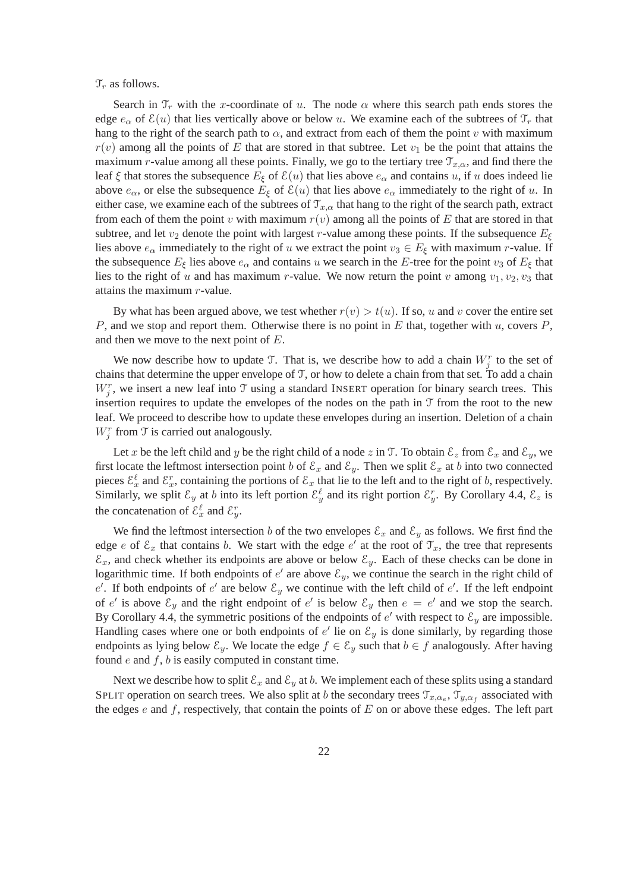$\mathcal{T}_r$  as follows.

Search in  $\mathcal{T}_r$  with the x-coordinate of u. The node  $\alpha$  where this search path ends stores the edge  $e_{\alpha}$  of  $\mathcal{E}(u)$  that lies vertically above or below u. We examine each of the subtrees of  $\mathcal{T}_r$  that hang to the right of the search path to  $\alpha$ , and extract from each of them the point v with maximum  $r(v)$  among all the points of E that are stored in that subtree. Let  $v_1$  be the point that attains the maximum r-value among all these points. Finally, we go to the tertiary tree  $\mathcal{T}_{x,\alpha}$ , and find there the leaf  $\xi$  that stores the subsequence  $E_{\xi}$  of  $\mathcal{E}(u)$  that lies above  $e_{\alpha}$  and contains u, if u does indeed lie above  $e_{\alpha}$ , or else the subsequence  $E_{\xi}$  of  $\mathcal{E}(u)$  that lies above  $e_{\alpha}$  immediately to the right of u. In either case, we examine each of the subtrees of  $\mathcal{T}_{x,\alpha}$  that hang to the right of the search path, extract from each of them the point v with maximum  $r(v)$  among all the points of E that are stored in that subtree, and let  $v_2$  denote the point with largest r-value among these points. If the subsequence  $E_\xi$ lies above  $e_{\alpha}$  immediately to the right of u we extract the point  $v_3 \in E_{\xi}$  with maximum r-value. If the subsequence  $E_{\xi}$  lies above  $e_{\alpha}$  and contains u we search in the E-tree for the point  $v_3$  of  $E_{\xi}$  that lies to the right of u and has maximum r-value. We now return the point v among  $v_1, v_2, v_3$  that attains the maximum r-value.

By what has been argued above, we test whether  $r(v) > t(u)$ . If so, u and v cover the entire set P, and we stop and report them. Otherwise there is no point in  $E$  that, together with  $u$ , covers  $P$ , and then we move to the next point of E.

We now describe how to update T. That is, we describe how to add a chain  $W_j^r$  to the set of chains that determine the upper envelope of T, or how to delete a chain from that set. To add a chain  $W_j^r$ , we insert a new leaf into T using a standard INSERT operation for binary search trees. This insertion requires to update the envelopes of the nodes on the path in  $\mathcal T$  from the root to the new leaf. We proceed to describe how to update these envelopes during an insertion. Deletion of a chain  $W_j^r$  from T is carried out analogously.

Let x be the left child and y be the right child of a node z in T. To obtain  $\mathcal{E}_z$  from  $\mathcal{E}_x$  and  $\mathcal{E}_y$ , we first locate the leftmost intersection point b of  $\mathcal{E}_x$  and  $\mathcal{E}_y$ . Then we split  $\mathcal{E}_x$  at b into two connected pieces  $\mathcal{E}_x^{\ell}$  and  $\mathcal{E}_x^r$ , containing the portions of  $\mathcal{E}_x$  that lie to the left and to the right of b, respectively. Similarly, we split  $\mathcal{E}_y$  at b into its left portion  $\mathcal{E}_y^{\ell}$  and its right portion  $\mathcal{E}_y^r$ . By Corollary 4.4,  $\mathcal{E}_z$  is the concatenation of  $\mathcal{E}_x^{\ell}$  and  $\mathcal{E}_y^r$ .

We find the leftmost intersection b of the two envelopes  $\mathcal{E}_x$  and  $\mathcal{E}_y$  as follows. We first find the edge e of  $\mathcal{E}_x$  that contains b. We start with the edge  $e'$  at the root of  $\mathcal{T}_x$ , the tree that represents  $\mathcal{E}_x$ , and check whether its endpoints are above or below  $\mathcal{E}_y$ . Each of these checks can be done in logarithmic time. If both endpoints of  $e'$  are above  $\mathcal{E}_y$ , we continue the search in the right child of e'. If both endpoints of e' are below  $\mathcal{E}_y$  we continue with the left child of e'. If the left endpoint of e' is above  $\mathcal{E}_y$  and the right endpoint of e' is below  $\mathcal{E}_y$  then  $e = e'$  and we stop the search. By Corollary 4.4, the symmetric positions of the endpoints of  $e'$  with respect to  $\mathcal{E}_y$  are impossible. Handling cases where one or both endpoints of  $e'$  lie on  $\mathcal{E}_y$  is done similarly, by regarding those endpoints as lying below  $\mathcal{E}_y$ . We locate the edge  $f \in \mathcal{E}_y$  such that  $b \in f$  analogously. After having found  $e$  and  $f$ ,  $b$  is easily computed in constant time.

Next we describe how to split  $\mathcal{E}_x$  and  $\mathcal{E}_y$  at b. We implement each of these splits using a standard SPLIT operation on search trees. We also split at b the secondary trees  $\mathcal{T}_{x,\alpha_e}$ ,  $\mathcal{T}_{y,\alpha_f}$  associated with the edges  $e$  and  $f$ , respectively, that contain the points of  $E$  on or above these edges. The left part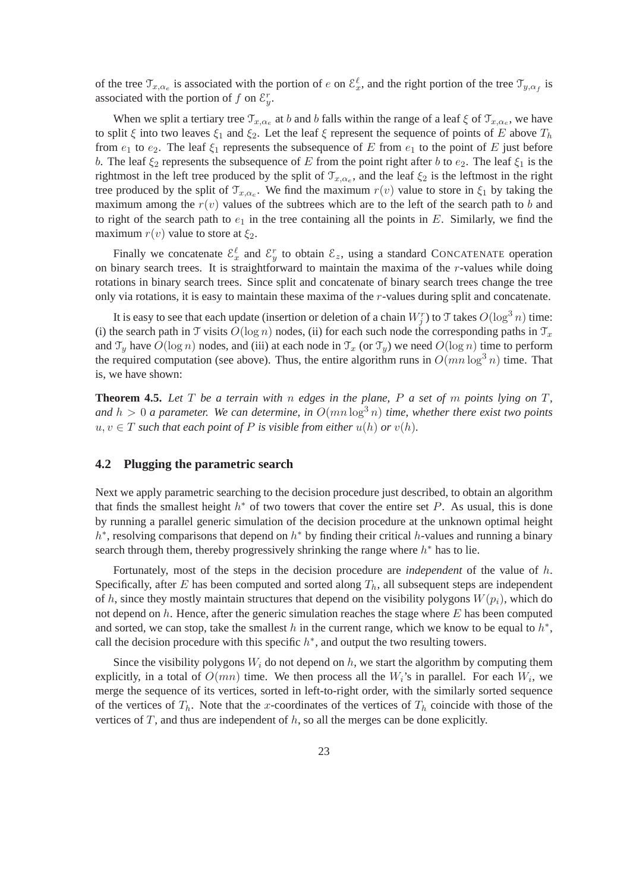of the tree  $\mathcal{T}_{x,\alpha_e}$  is associated with the portion of e on  $\mathcal{E}_x^{\ell}$ , and the right portion of the tree  $\mathcal{T}_{y,\alpha_f}$  is associated with the portion of f on  $\mathcal{E}_y^r$ .

When we split a tertiary tree  $\mathcal{T}_{x,\alpha_e}$  at b and b falls within the range of a leaf  $\xi$  of  $\mathcal{T}_{x,\alpha_e}$ , we have to split  $\xi$  into two leaves  $\xi_1$  and  $\xi_2$ . Let the leaf  $\xi$  represent the sequence of points of E above  $T_h$ from  $e_1$  to  $e_2$ . The leaf  $\xi_1$  represents the subsequence of E from  $e_1$  to the point of E just before b. The leaf  $\xi_2$  represents the subsequence of E from the point right after b to  $e_2$ . The leaf  $\xi_1$  is the rightmost in the left tree produced by the split of  $\mathcal{T}_{x,\alpha_e}$ , and the leaf  $\xi_2$  is the leftmost in the right tree produced by the split of  $\mathcal{T}_{x,\alpha_e}$ . We find the maximum  $r(v)$  value to store in  $\xi_1$  by taking the maximum among the  $r(v)$  values of the subtrees which are to the left of the search path to b and to right of the search path to  $e_1$  in the tree containing all the points in E. Similarly, we find the maximum  $r(v)$  value to store at  $\xi_2$ .

Finally we concatenate  $\mathcal{E}_x^{\ell}$  and  $\mathcal{E}_y^r$  to obtain  $\mathcal{E}_z$ , using a standard CONCATENATE operation on binary search trees. It is straightforward to maintain the maxima of the r-values while doing rotations in binary search trees. Since split and concatenate of binary search trees change the tree only via rotations, it is easy to maintain these maxima of the r-values during split and concatenate.

It is easy to see that each update (insertion or deletion of a chain  $W_j^r$ ) to  $\mathfrak I$  takes  $O(\log^3 n)$  time: (i) the search path in T visits  $O(\log n)$  nodes, (ii) for each such node the corresponding paths in  $\mathcal{T}_x$ and  $\mathcal{T}_y$  have  $O(\log n)$  nodes, and (iii) at each node in  $\mathcal{T}_x$  (or  $\mathcal{T}_y$ ) we need  $O(\log n)$  time to perform the required computation (see above). Thus, the entire algorithm runs in  $O(mn \log^3 n)$  time. That is, we have shown:

**Theorem 4.5.** *Let* T *be a terrain with* n *edges in the plane,* P *a set of* m *points lying on* T*,* and  $h > 0$  a parameter. We can determine, in  $O(mn \log^3 n)$  *time, whether there exist two points*  $u, v \in T$  *such that each point of* P *is visible from either*  $u(h)$  *or*  $v(h)$ *.* 

#### **4.2 Plugging the parametric search**

Next we apply parametric searching to the decision procedure just described, to obtain an algorithm that finds the smallest height  $h^*$  of two towers that cover the entire set  $P$ . As usual, this is done by running a parallel generic simulation of the decision procedure at the unknown optimal height  $h^*$ , resolving comparisons that depend on  $h^*$  by finding their critical h-values and running a binary search through them, thereby progressively shrinking the range where  $h^*$  has to lie.

Fortunately, most of the steps in the decision procedure are *independent* of the value of h. Specifically, after E has been computed and sorted along  $T_h$ , all subsequent steps are independent of h, since they mostly maintain structures that depend on the visibility polygons  $W(p_i)$ , which do not depend on  $h$ . Hence, after the generic simulation reaches the stage where  $E$  has been computed and sorted, we can stop, take the smallest h in the current range, which we know to be equal to  $h^*$ , call the decision procedure with this specific  $h^*$ , and output the two resulting towers.

Since the visibility polygons  $W_i$  do not depend on h, we start the algorithm by computing them explicitly, in a total of  $O(mn)$  time. We then process all the  $W_i$ 's in parallel. For each  $W_i$ , we merge the sequence of its vertices, sorted in left-to-right order, with the similarly sorted sequence of the vertices of  $T_h$ . Note that the x-coordinates of the vertices of  $T_h$  coincide with those of the vertices of  $T$ , and thus are independent of  $h$ , so all the merges can be done explicitly.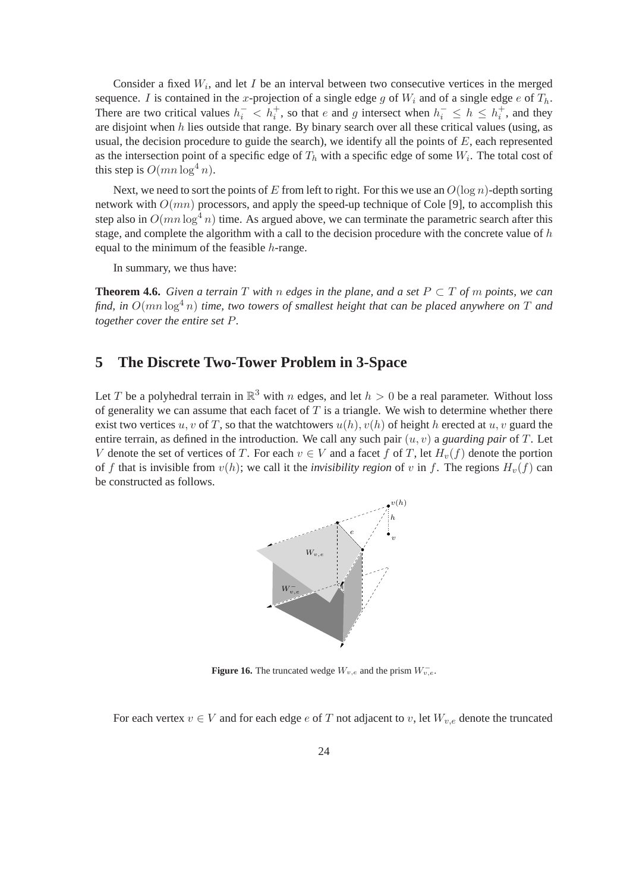Consider a fixed  $W_i$ , and let I be an interval between two consecutive vertices in the merged sequence. I is contained in the x-projection of a single edge g of  $W_i$  and of a single edge e of  $T_h$ . There are two critical values  $h_i^- < h_i^+$ , so that e and g intersect when  $h_i^- \leq h \leq h_i^+$ , and they are disjoint when  $h$  lies outside that range. By binary search over all these critical values (using, as usual, the decision procedure to guide the search), we identify all the points of  $E$ , each represented as the intersection point of a specific edge of  $T_h$  with a specific edge of some  $W_i$ . The total cost of this step is  $O(mn \log^4 n)$ .

Next, we need to sort the points of E from left to right. For this we use an  $O(\log n)$ -depth sorting network with  $O(mn)$  processors, and apply the speed-up technique of Cole [9], to accomplish this step also in  $O(mn \log^4 n)$  time. As argued above, we can terminate the parametric search after this stage, and complete the algorithm with a call to the decision procedure with the concrete value of h equal to the minimum of the feasible  $h$ -range.

In summary, we thus have:

**Theorem 4.6.** Given a terrain  $T$  with n edges in the plane, and a set  $P \subset T$  of m points, we can *find, in*  $O(mn \log^4 n)$  *time, two towers of smallest height that can be placed anywhere on* T *and together cover the entire set* P*.*

## **5 The Discrete Two-Tower Problem in 3-Space**

Let T be a polyhedral terrain in  $\mathbb{R}^3$  with n edges, and let  $h > 0$  be a real parameter. Without loss of generality we can assume that each facet of  $T$  is a triangle. We wish to determine whether there exist two vertices u, v of T, so that the watchtowers  $u(h)$ ,  $v(h)$  of height h erected at u, v guard the entire terrain, as defined in the introduction. We call any such pair  $(u, v)$  a *guarding pair* of T. Let V denote the set of vertices of T. For each  $v \in V$  and a facet f of T, let  $H_v(f)$  denote the portion of f that is invisible from  $v(h)$ ; we call it the *invisibility region* of v in f. The regions  $H_v(f)$  can be constructed as follows.



**Figure 16.** The truncated wedge  $W_{v,e}$  and the prism  $W_{v,e}^{-}$ .

For each vertex  $v \in V$  and for each edge e of T not adjacent to v, let  $W_{v,e}$  denote the truncated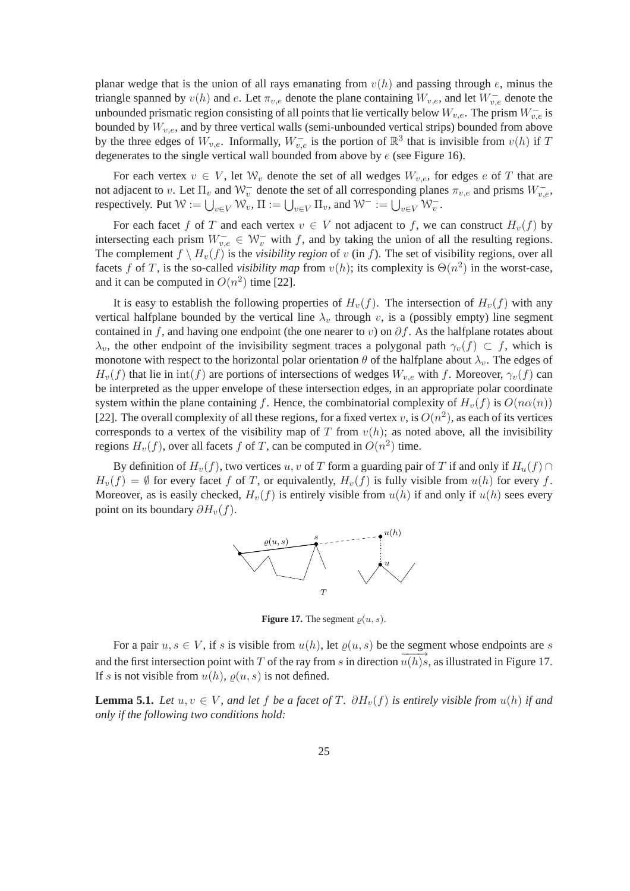planar wedge that is the union of all rays emanating from  $v(h)$  and passing through e, minus the triangle spanned by  $v(h)$  and e. Let  $\pi_{v,e}$  denote the plane containing  $W_{v,e}$ , and let  $W_{v,e}^-$  denote the unbounded prismatic region consisting of all points that lie vertically below  $W_{v,e}$ . The prism  $W_{v,e}^-$  is bounded by  $W_{v,e}$ , and by three vertical walls (semi-unbounded vertical strips) bounded from above by the three edges of  $W_{v,e}$ . Informally,  $W_{v,e}^-$  is the portion of  $\mathbb{R}^3$  that is invisible from  $v(h)$  if T degenerates to the single vertical wall bounded from above by e (see Figure 16).

For each vertex  $v \in V$ , let  $\mathcal{W}_v$  denote the set of all wedges  $W_{v,e}$ , for edges e of T that are not adjacent to v. Let  $\Pi_v$  and  $\mathcal{W}_v^-$  denote the set of all corresponding planes  $\pi_{v,e}$  and prisms  $W_{v,e}^-$ , respectively. Put  $\mathcal{W} := \bigcup_{v \in V} \mathcal{W}_v$ ,  $\Pi := \bigcup_{v \in V} \Pi_v$ , and  $\mathcal{W}^- := \bigcup_{v \in V} \mathcal{W}_v^-$ .

For each facet f of T and each vertex  $v \in V$  not adjacent to f, we can construct  $H_v(f)$  by intersecting each prism  $W_{v,e}^- \in W_v^-$  with f, and by taking the union of all the resulting regions. The complement  $f \setminus H_v(f)$  is the *visibility region* of v (in f). The set of visibility regions, over all facets f of T, is the so-called *visibility map* from  $v(h)$ ; its complexity is  $\Theta(n^2)$  in the worst-case, and it can be computed in  $O(n^2)$  time [22].

It is easy to establish the following properties of  $H_v(f)$ . The intersection of  $H_v(f)$  with any vertical halfplane bounded by the vertical line  $\lambda_v$  through v, is a (possibly empty) line segment contained in f, and having one endpoint (the one nearer to v) on  $\partial f$ . As the halfplane rotates about  $\lambda_v$ , the other endpoint of the invisibility segment traces a polygonal path  $\gamma_v(f) \subset f$ , which is monotone with respect to the horizontal polar orientation  $\theta$  of the halfplane about  $\lambda_v$ . The edges of  $H_v(f)$  that lie in  $int(f)$  are portions of intersections of wedges  $W_{v,e}$  with f. Moreover,  $\gamma_v(f)$  can be interpreted as the upper envelope of these intersection edges, in an appropriate polar coordinate system within the plane containing f. Hence, the combinatorial complexity of  $H<sub>v</sub>(f)$  is  $O(n\alpha(n))$ [22]. The overall complexity of all these regions, for a fixed vertex v, is  $O(n^2)$ , as each of its vertices corresponds to a vertex of the visibility map of T from  $v(h)$ ; as noted above, all the invisibility regions  $H_v(f)$ , over all facets f of T, can be computed in  $O(n^2)$  time.

By definition of  $H_v(f)$ , two vertices u, v of T form a guarding pair of T if and only if  $H_u(f) \cap$  $H_v(f) = \emptyset$  for every facet f of T, or equivalently,  $H_v(f)$  is fully visible from  $u(h)$  for every f. Moreover, as is easily checked,  $H<sub>v</sub>(f)$  is entirely visible from  $u(h)$  if and only if  $u(h)$  sees every point on its boundary  $\partial H_v(f)$ .



**Figure 17.** The segment  $\varrho(u, s)$ .

For a pair  $u, s \in V$ , if s is visible from  $u(h)$ , let  $\rho(u, s)$  be the segment whose endpoints are s and the first intersection point with T of the ray from s in direction  $\overline{u(h)}s$ , as illustrated in Figure 17. If s is not visible from  $u(h)$ ,  $\varrho(u, s)$  is not defined.

**Lemma 5.1.** *Let*  $u, v \in V$ *, and let*  $f$  *be a facet of*  $T$ *.*  $\partial H_v(f)$  *is entirely visible from*  $u(h)$  *if and only if the following two conditions hold:*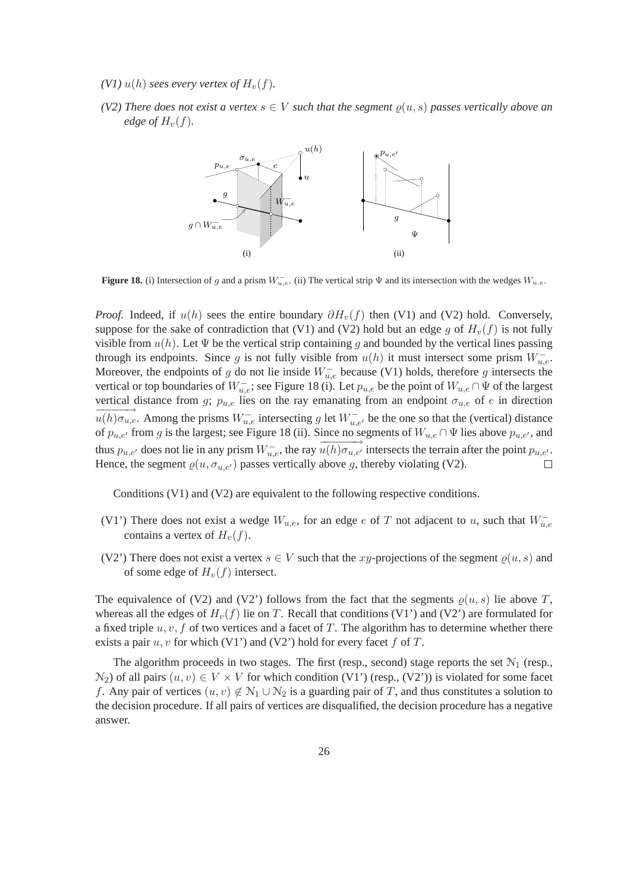- *(V1)*  $u(h)$  *sees every vertex of*  $H<sub>v</sub>(f)$ *.*
- *(V2) There does not exist a vertex*  $s \in V$  *such that the segment*  $\rho(u, s)$  *passes vertically above an edge of*  $H_v(f)$ *.*



**Figure 18.** (i) Intersection of g and a prism  $W_{u,e}^-$ . (ii) The vertical strip  $\Psi$  and its intersection with the wedges  $W_{u,e}$ .

*Proof.* Indeed, if  $u(h)$  sees the entire boundary  $\partial H_v(f)$  then (V1) and (V2) hold. Conversely, suppose for the sake of contradiction that (V1) and (V2) hold but an edge q of  $H<sub>v</sub>(f)$  is not fully visible from  $u(h)$ . Let  $\Psi$  be the vertical strip containing g and bounded by the vertical lines passing through its endpoints. Since g is not fully visible from  $u(h)$  it must intersect some prism  $W_{u,e}^-$ . Moreover, the endpoints of g do not lie inside  $W_{u,e}^-$  because (V1) holds, therefore g intersects the vertical or top boundaries of  $W_{u,e}^-$ ; see Figure 18 (i). Let  $p_{u,e}$  be the point of  $W_{u,e} \cap \Psi$  of the largest vertical distance from g;  $p_{u,e}$  lies on the ray emanating from an endpoint  $\sigma_{u,e}$  of e in direction  $\overrightarrow{u(h)\sigma_{u,e}}$ . Among the prisms  $W_{u,e}^-$  intersecting g let  $W_{u,e'}^-$  be the one so that the (vertical) distance of  $p_{u,e'}$  from g is the largest; see Figure 18 (ii). Since no segments of  $W_{u,e} \cap \Psi$  lies above  $p_{u,e'}$ , and thus  $p_{u,e'}$  does not lie in any prism  $W_{u,e}^-$ , the ray  $\overrightarrow{u(h)\sigma_{u,e'}}$  intersects the terrain after the point  $p_{u,e'}$ . Hence, the segment  $\varrho(u, \sigma_{u,e'})$  passes vertically above g, thereby violating (V2).  $\Box$ 

Conditions (V1) and (V2) are equivalent to the following respective conditions.

- (V1') There does not exist a wedge  $W_{u,e}$ , for an edge e of T not adjacent to u, such that  $W_{u,e}^$ contains a vertex of  $H<sub>v</sub>(f)$ .
- (V2') There does not exist a vertex  $s \in V$  such that the xy-projections of the segment  $\rho(u, s)$  and of some edge of  $H_v(f)$  intersect.

The equivalence of (V2) and (V2') follows from the fact that the segments  $\rho(u, s)$  lie above T, whereas all the edges of  $H<sub>v</sub>(f)$  lie on T. Recall that conditions (V1') and (V2') are formulated for a fixed triple  $u, v, f$  of two vertices and a facet of T. The algorithm has to determine whether there exists a pair  $u, v$  for which (V1') and (V2') hold for every facet f of T.

The algorithm proceeds in two stages. The first (resp., second) stage reports the set  $N_1$  (resp.,  $N_2$ ) of all pairs  $(u, v) \in V \times V$  for which condition (V1') (resp., (V2')) is violated for some facet f. Any pair of vertices  $(u, v) \notin \mathcal{N}_1 \cup \mathcal{N}_2$  is a guarding pair of T, and thus constitutes a solution to the decision procedure. If all pairs of vertices are disqualified, the decision procedure has a negative answer.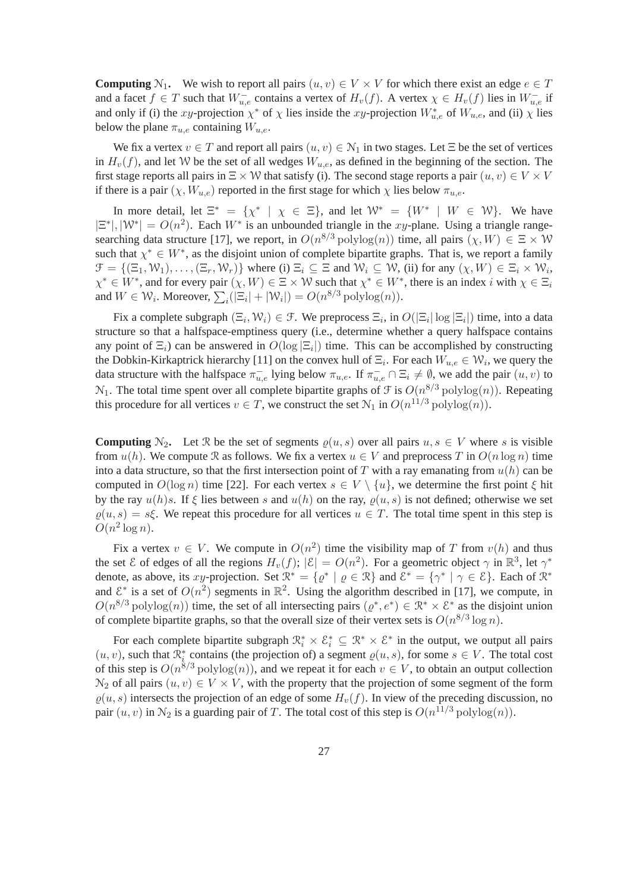**Computing**  $N_1$ . We wish to report all pairs  $(u, v) \in V \times V$  for which there exist an edge  $e \in T$ and a facet  $f \in T$  such that  $W_{u,e}^-$  contains a vertex of  $H_v(f)$ . A vertex  $\chi \in H_v(f)$  lies in  $W_{u,e}^-$  if and only if (i) the xy-projection  $\chi^*$  of  $\chi$  lies inside the xy-projection  $W_{u,e}^*$  of  $W_{u,e}$ , and (ii)  $\chi$  lies below the plane  $\pi_{u,e}$  containing  $W_{u,e}$ .

We fix a vertex  $v \in T$  and report all pairs  $(u, v) \in \mathcal{N}_1$  in two stages. Let  $\Xi$  be the set of vertices in  $H_v(f)$ , and let W be the set of all wedges  $W_{u,e}$ , as defined in the beginning of the section. The first stage reports all pairs in  $\Xi \times W$  that satisfy (i). The second stage reports a pair  $(u, v) \in V \times V$ if there is a pair  $(\chi, W_{u,e})$  reported in the first stage for which  $\chi$  lies below  $\pi_{u,e}$ .

In more detail, let  $\Xi^* = \{ \chi^* \mid \chi \in \Xi \}$ , and let  $\mathcal{W}^* = \{ W^* \mid W \in \mathcal{W} \}$ . We have  $|\Xi^*|, |\mathcal{W}^*| = O(n^2)$ . Each  $W^*$  is an unbounded triangle in the xy-plane. Using a triangle rangesearching data structure [17], we report, in  $O(n^{8/3} \text{polylog}(n))$  time, all pairs  $(\chi, W) \in \Xi \times W$ such that  $\chi^* \in W^*$ , as the disjoint union of complete bipartite graphs. That is, we report a family  $\mathcal{F} = \{(\Xi_1, \mathcal{W}_1), \dots, (\Xi_r, \mathcal{W}_r)\}\$  where (i)  $\Xi_i \subseteq \Xi$  and  $\mathcal{W}_i \subseteq \mathcal{W}$ , (ii) for any  $(\chi, W) \in \Xi_i \times \mathcal{W}_i$ ,  $\chi^* \in W^*$ , and for every pair  $(\chi, W) \in \Xi \times W$  such that  $\chi^* \in W^*$ , there is an index i with  $\chi \in \Xi_i$ and  $W \in \mathcal{W}_i$ . Moreover,  $\sum_i (|\Xi_i| + |\mathcal{W}_i|) = O(n^{8/3} \text{polylog}(n)).$ 

Fix a complete subgraph  $(\Xi_i, W_i) \in \mathcal{F}$ . We preprocess  $\Xi_i$ , in  $O(|\Xi_i| \log |\Xi_i|)$  time, into a data structure so that a halfspace-emptiness query (i.e., determine whether a query halfspace contains any point of  $\Xi_i$ ) can be answered in  $O(\log |\Xi_i|)$  time. This can be accomplished by constructing the Dobkin-Kirkaptrick hierarchy [11] on the convex hull of  $\Xi_i$ . For each  $W_{u,e} \in \mathcal{W}_i$ , we query the data structure with the halfspace  $\pi_{u,e}^-$  lying below  $\pi_{u,e}$ . If  $\pi_{u,e}^- \cap \Xi_i \neq \emptyset$ , we add the pair  $(u, v)$  to  $N_1$ . The total time spent over all complete bipartite graphs of  $\mathcal F$  is  $O(n^{8/3} \text{polylog}(n))$ . Repeating this procedure for all vertices  $v \in T$ , we construct the set  $\mathcal{N}_1$  in  $O(n^{11/3} \text{polylog}(n))$ .

**Computing**  $N_2$ . Let R be the set of segments  $\rho(u, s)$  over all pairs  $u, s \in V$  where s is visible from  $u(h)$ . We compute R as follows. We fix a vertex  $u \in V$  and preprocess T in  $O(n \log n)$  time into a data structure, so that the first intersection point of T with a ray emanating from  $u(h)$  can be computed in  $O(\log n)$  time [22]. For each vertex  $s \in V \setminus \{u\}$ , we determine the first point  $\xi$  hit by the ray  $u(h)s$ . If  $\xi$  lies between s and  $u(h)$  on the ray,  $\varrho(u, s)$  is not defined; otherwise we set  $\rho(u, s) = s\xi$ . We repeat this procedure for all vertices  $u \in T$ . The total time spent in this step is  $O(n^2 \log n)$ .

Fix a vertex  $v \in V$ . We compute in  $O(n^2)$  time the visibility map of T from  $v(h)$  and thus the set  $\mathcal E$  of edges of all the regions  $H_v(f)$ ;  $|\mathcal E| = O(n^2)$ . For a geometric object  $\gamma$  in  $\mathbb R^3$ , let  $\gamma^*$ denote, as above, its xy-projection. Set  $\mathbb{R}^* = \{ \varrho^* \mid \varrho \in \mathbb{R} \}$  and  $\mathcal{E}^* = \{ \gamma^* \mid \gamma \in \mathcal{E} \}$ . Each of  $\mathbb{R}^*$ and  $\mathcal{E}^*$  is a set of  $O(n^2)$  segments in  $\mathbb{R}^2$ . Using the algorithm described in [17], we compute, in  $O(n^{8/3} \text{polylog}(n))$  time, the set of all intersecting pairs  $(\varrho^*, e^*) \in \mathbb{R}^* \times \mathbb{S}^*$  as the disjoint union of complete bipartite graphs, so that the overall size of their vertex sets is  $O(n^{8/3} \log n)$ .

For each complete bipartite subgraph  $\mathcal{R}_i^* \times \mathcal{E}_i^* \subseteq \mathcal{R}^* \times \mathcal{E}^*$  in the output, we output all pairs  $(u, v)$ , such that  $\mathcal{R}_i^*$  contains (the projection of) a segment  $\varrho(u, s)$ , for some  $s \in V$ . The total cost of this step is  $O(n^{8/3} \text{polylog}(n))$ , and we repeat it for each  $v \in V$ , to obtain an output collection  $\mathcal{N}_2$  of all pairs  $(u, v) \in V \times V$ , with the property that the projection of some segment of the form  $\rho(u, s)$  intersects the projection of an edge of some  $H_v(f)$ . In view of the preceding discussion, no pair  $(u, v)$  in  $\mathcal{N}_2$  is a guarding pair of T. The total cost of this step is  $O(n^{11/3} \text{polylog}(n))$ .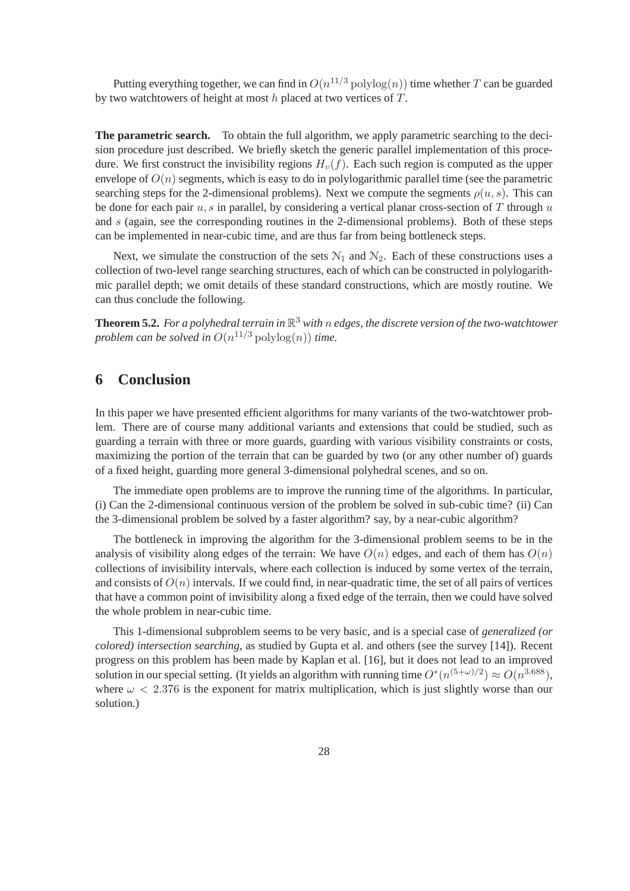Putting everything together, we can find in  $O(n^{11/3} \text{polylog}(n))$  time whether T can be guarded by two watchtowers of height at most  $h$  placed at two vertices of  $T$ .

**The parametric search.** To obtain the full algorithm, we apply parametric searching to the decision procedure just described. We briefly sketch the generic parallel implementation of this procedure. We first construct the invisibility regions  $H<sub>v</sub>(f)$ . Each such region is computed as the upper envelope of  $O(n)$  segments, which is easy to do in polylogarithmic parallel time (see the parametric searching steps for the 2-dimensional problems). Next we compute the segments  $\rho(u, s)$ . This can be done for each pair  $u$ , s in parallel, by considering a vertical planar cross-section of T through  $u$ and s (again, see the corresponding routines in the 2-dimensional problems). Both of these steps can be implemented in near-cubic time, and are thus far from being bottleneck steps.

Next, we simulate the construction of the sets  $N_1$  and  $N_2$ . Each of these constructions uses a collection of two-level range searching structures, each of which can be constructed in polylogarithmic parallel depth; we omit details of these standard constructions, which are mostly routine. We can thus conclude the following.

**Theorem 5.2.** *For a polyhedral terrain in* R <sup>3</sup> *with* n *edges, the discrete version of the two-watchtower problem can be solved in*  $O(n^{11/3} \text{ polylog}(n))$  *time.* 

## **6 Conclusion**

In this paper we have presented efficient algorithms for many variants of the two-watchtower problem. There are of course many additional variants and extensions that could be studied, such as guarding a terrain with three or more guards, guarding with various visibility constraints or costs, maximizing the portion of the terrain that can be guarded by two (or any other number of) guards of a fixed height, guarding more general 3-dimensional polyhedral scenes, and so on.

The immediate open problems are to improve the running time of the algorithms. In particular, (i) Can the 2-dimensional continuous version of the problem be solved in sub-cubic time? (ii) Can the 3-dimensional problem be solved by a faster algorithm? say, by a near-cubic algorithm?

The bottleneck in improving the algorithm for the 3-dimensional problem seems to be in the analysis of visibility along edges of the terrain: We have  $O(n)$  edges, and each of them has  $O(n)$ collections of invisibility intervals, where each collection is induced by some vertex of the terrain, and consists of  $O(n)$  intervals. If we could find, in near-quadratic time, the set of all pairs of vertices that have a common point of invisibility along a fixed edge of the terrain, then we could have solved the whole problem in near-cubic time.

This 1-dimensional subproblem seems to be very basic, and is a special case of *generalized (or colored) intersection searching*, as studied by Gupta et al. and others (see the survey [14]). Recent progress on this problem has been made by Kaplan et al. [16], but it does not lead to an improved solution in our special setting. (It yields an algorithm with running time  $O^*(n^{(5+\omega)/2}) \approx O(n^{3.688})$ , where  $\omega$  < 2.376 is the exponent for matrix multiplication, which is just slightly worse than our solution.)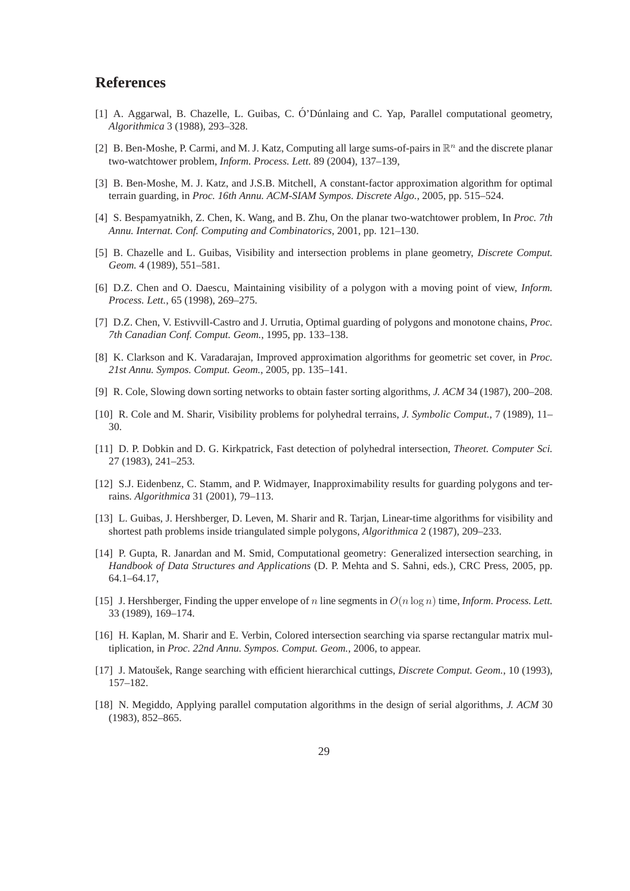## **References**

- [1] A. Aggarwal, B. Chazelle, L. Guibas, C. Ó' Dúnlaing and C. Yap, Parallel computational geometry, *Algorithmica* 3 (1988), 293–328.
- [2] B. Ben-Moshe, P. Carmi, and M. J. Katz, Computing all large sums-of-pairs in  $\mathbb{R}^n$  and the discrete planar two-watchtower problem, *Inform. Process. Lett.* 89 (2004), 137–139,
- [3] B. Ben-Moshe, M. J. Katz, and J.S.B. Mitchell, A constant-factor approximation algorithm for optimal terrain guarding, in *Proc. 16th Annu. ACM-SIAM Sympos. Discrete Algo.*, 2005, pp. 515–524.
- [4] S. Bespamyatnikh, Z. Chen, K. Wang, and B. Zhu, On the planar two-watchtower problem, In *Proc. 7th Annu. Internat. Conf. Computing and Combinatorics*, 2001, pp. 121–130.
- [5] B. Chazelle and L. Guibas, Visibility and intersection problems in plane geometry, *Discrete Comput. Geom.* 4 (1989), 551–581.
- [6] D.Z. Chen and O. Daescu, Maintaining visibility of a polygon with a moving point of view, *Inform. Process. Lett.*, 65 (1998), 269–275.
- [7] D.Z. Chen, V. Estivvill-Castro and J. Urrutia, Optimal guarding of polygons and monotone chains, *Proc. 7th Canadian Conf. Comput. Geom.*, 1995, pp. 133–138.
- [8] K. Clarkson and K. Varadarajan, Improved approximation algorithms for geometric set cover, in *Proc. 21st Annu. Sympos. Comput. Geom.*, 2005, pp. 135–141.
- [9] R. Cole, Slowing down sorting networks to obtain faster sorting algorithms, *J. ACM* 34 (1987), 200–208.
- [10] R. Cole and M. Sharir, Visibility problems for polyhedral terrains, *J. Symbolic Comput.*, 7 (1989), 11– 30.
- [11] D. P. Dobkin and D. G. Kirkpatrick, Fast detection of polyhedral intersection, *Theoret. Computer Sci.* 27 (1983), 241–253.
- [12] S.J. Eidenbenz, C. Stamm, and P. Widmayer, Inapproximability results for guarding polygons and terrains. *Algorithmica* 31 (2001), 79–113.
- [13] L. Guibas, J. Hershberger, D. Leven, M. Sharir and R. Tarjan, Linear-time algorithms for visibility and shortest path problems inside triangulated simple polygons, *Algorithmica* 2 (1987), 209–233.
- [14] P. Gupta, R. Janardan and M. Smid, Computational geometry: Generalized intersection searching, in *Handbook of Data Structures and Applications* (D. P. Mehta and S. Sahni, eds.), CRC Press, 2005, pp. 64.1–64.17,
- [15] J. Hershberger, Finding the upper envelope of n line segments in O(n log n) time, *Inform. Process. Lett.* 33 (1989), 169–174.
- [16] H. Kaplan, M. Sharir and E. Verbin, Colored intersection searching via sparse rectangular matrix multiplication, in *Proc. 22nd Annu. Sympos. Comput. Geom.*, 2006, to appear.
- [17] J. Matoušek, Range searching with efficient hierarchical cuttings, *Discrete Comput. Geom.*, 10 (1993), 157–182.
- [18] N. Megiddo, Applying parallel computation algorithms in the design of serial algorithms, *J. ACM* 30 (1983), 852–865.